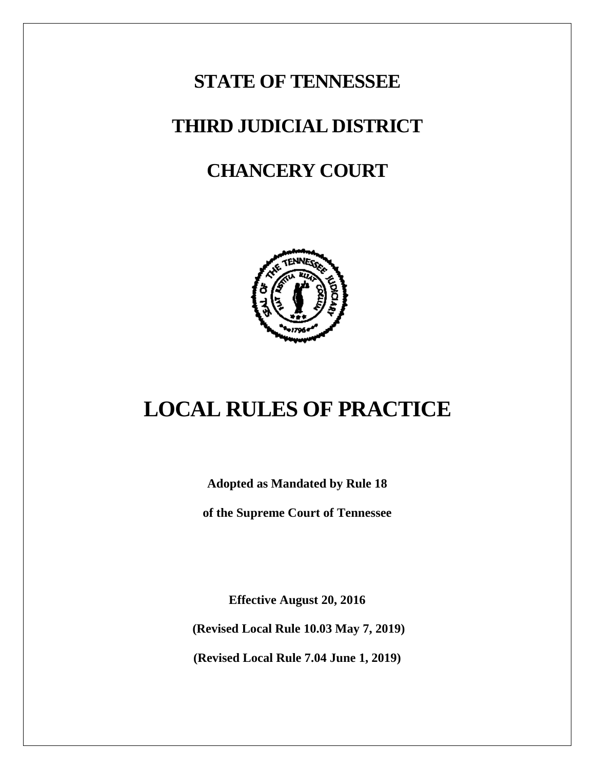# **STATE OF TENNESSEE THIRD JUDICIAL DISTRICT CHANCERY COURT**



# **LOCAL RULES OF PRACTICE**

**Adopted as Mandated by Rule 18** 

**of the Supreme Court of Tennessee**

**Effective August 20, 2016**

**(Revised Local Rule 10.03 May 7, 2019)**

**(Revised Local Rule 7.04 June 1, 2019)**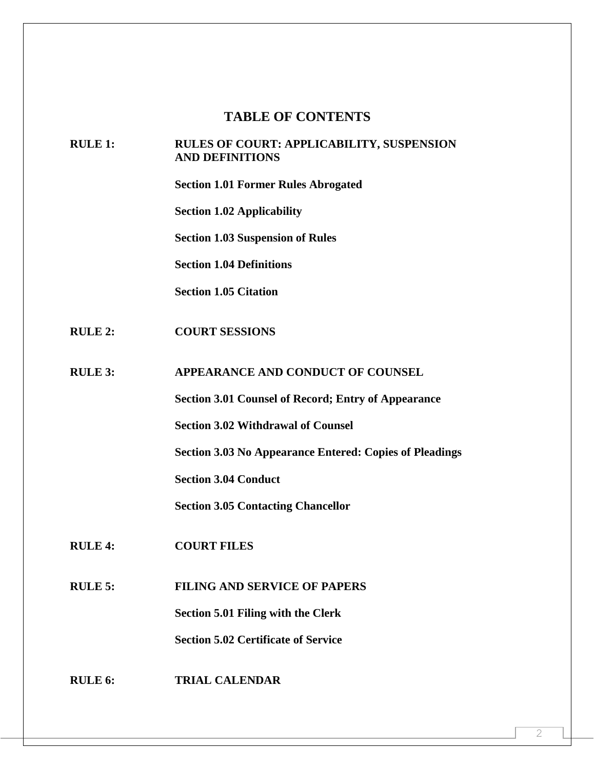# **TABLE OF CONTENTS**

#### **RULE 1: RULES OF COURT: APPLICABILITY, SUSPENSION AND DEFINITIONS**

**Section 1.01 Former Rules Abrogated** 

**Section 1.02 Applicability** 

**Section 1.03 Suspension of Rules** 

**Section 1.04 Definitions** 

**Section 1.05 Citation**

**RULE 2: COURT SESSIONS**

**RULE 3: APPEARANCE AND CONDUCT OF COUNSEL**

**Section 3.01 Counsel of Record; Entry of Appearance**

**Section 3.02 Withdrawal of Counsel**

**Section 3.03 No Appearance Entered: Copies of Pleadings**

**Section 3.04 Conduct**

**Section 3.05 Contacting Chancellor**

- **RULE 4: COURT FILES**
- **RULE 5: FILING AND SERVICE OF PAPERS**

**Section 5.01 Filing with the Clerk** 

**Section 5.02 Certificate of Service**

**RULE 6: TRIAL CALENDAR**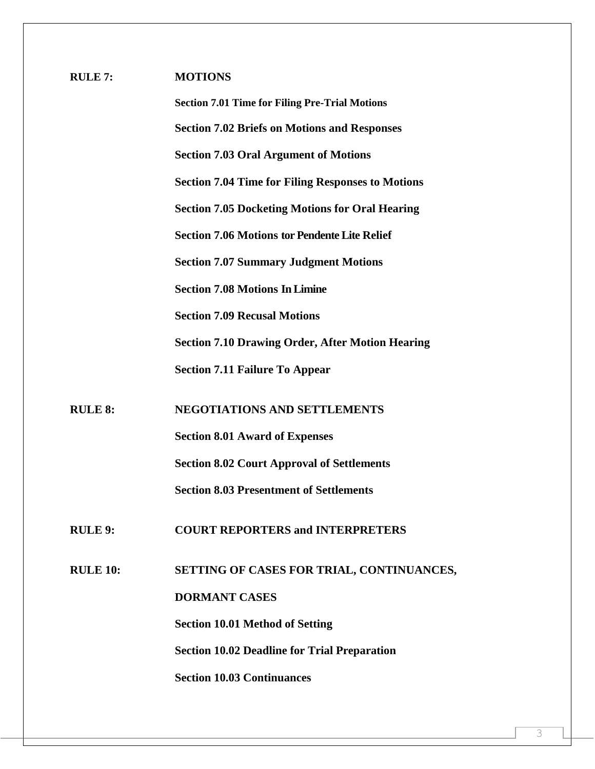| <b>RULE 7:</b>  | <b>MOTIONS</b>                                           |  |  |
|-----------------|----------------------------------------------------------|--|--|
|                 | <b>Section 7.01 Time for Filing Pre-Trial Motions</b>    |  |  |
|                 | <b>Section 7.02 Briefs on Motions and Responses</b>      |  |  |
|                 | <b>Section 7.03 Oral Argument of Motions</b>             |  |  |
|                 | <b>Section 7.04 Time for Filing Responses to Motions</b> |  |  |
|                 | <b>Section 7.05 Docketing Motions for Oral Hearing</b>   |  |  |
|                 | <b>Section 7.06 Motions tor Pendente Lite Relief</b>     |  |  |
|                 | <b>Section 7.07 Summary Judgment Motions</b>             |  |  |
|                 | <b>Section 7.08 Motions In Limine</b>                    |  |  |
|                 | <b>Section 7.09 Recusal Motions</b>                      |  |  |
|                 | <b>Section 7.10 Drawing Order, After Motion Hearing</b>  |  |  |
|                 | <b>Section 7.11 Failure To Appear</b>                    |  |  |
| <b>RULE 8:</b>  | <b>NEGOTIATIONS AND SETTLEMENTS</b>                      |  |  |
|                 | <b>Section 8.01 Award of Expenses</b>                    |  |  |
|                 | <b>Section 8.02 Court Approval of Settlements</b>        |  |  |
|                 | <b>Section 8.03 Presentment of Settlements</b>           |  |  |
| <b>RULE 9:</b>  | <b>COURT REPORTERS and INTERPRETERS</b>                  |  |  |
| <b>RULE 10:</b> |                                                          |  |  |
|                 | SETTING OF CASES FOR TRIAL, CONTINUANCES,                |  |  |
|                 | <b>DORMANT CASES</b>                                     |  |  |
|                 | <b>Section 10.01 Method of Setting</b>                   |  |  |
|                 | <b>Section 10.02 Deadline for Trial Preparation</b>      |  |  |
|                 | <b>Section 10.03 Continuances</b>                        |  |  |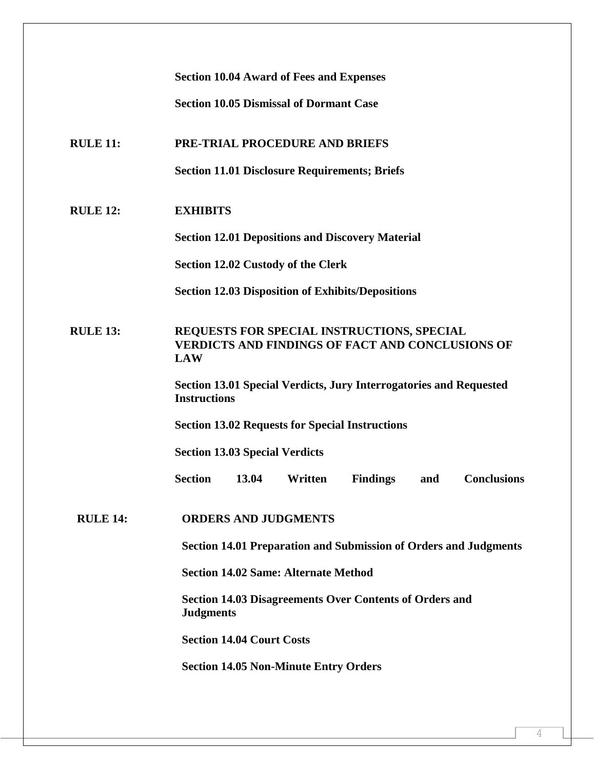|                 | <b>Section 10.04 Award of Fees and Expenses</b>                                                                            |  |  |  |  |
|-----------------|----------------------------------------------------------------------------------------------------------------------------|--|--|--|--|
|                 | <b>Section 10.05 Dismissal of Dormant Case</b>                                                                             |  |  |  |  |
| <b>RULE 11:</b> | PRE-TRIAL PROCEDURE AND BRIEFS                                                                                             |  |  |  |  |
|                 | <b>Section 11.01 Disclosure Requirements; Briefs</b>                                                                       |  |  |  |  |
| <b>RULE 12:</b> | <b>EXHIBITS</b>                                                                                                            |  |  |  |  |
|                 | <b>Section 12.01 Depositions and Discovery Material</b>                                                                    |  |  |  |  |
|                 | Section 12.02 Custody of the Clerk                                                                                         |  |  |  |  |
|                 | <b>Section 12.03 Disposition of Exhibits/Depositions</b>                                                                   |  |  |  |  |
| <b>RULE 13:</b> | <b>REQUESTS FOR SPECIAL INSTRUCTIONS, SPECIAL</b><br><b>VERDICTS AND FINDINGS OF FACT AND CONCLUSIONS OF</b><br><b>LAW</b> |  |  |  |  |
|                 | Section 13.01 Special Verdicts, Jury Interrogatories and Requested<br><b>Instructions</b>                                  |  |  |  |  |
|                 | <b>Section 13.02 Requests for Special Instructions</b>                                                                     |  |  |  |  |
|                 | <b>Section 13.03 Special Verdicts</b>                                                                                      |  |  |  |  |
|                 | <b>Conclusions</b><br><b>Section</b><br>Written<br>13.04<br><b>Findings</b><br>and                                         |  |  |  |  |
| <b>RULE 14:</b> | <b>ORDERS AND JUDGMENTS</b>                                                                                                |  |  |  |  |
|                 | <b>Section 14.01 Preparation and Submission of Orders and Judgments</b>                                                    |  |  |  |  |
|                 | <b>Section 14.02 Same: Alternate Method</b>                                                                                |  |  |  |  |
|                 | <b>Section 14.03 Disagreements Over Contents of Orders and</b><br><b>Judgments</b>                                         |  |  |  |  |
|                 | <b>Section 14.04 Court Costs</b>                                                                                           |  |  |  |  |
|                 | <b>Section 14.05 Non-Minute Entry Orders</b>                                                                               |  |  |  |  |
|                 |                                                                                                                            |  |  |  |  |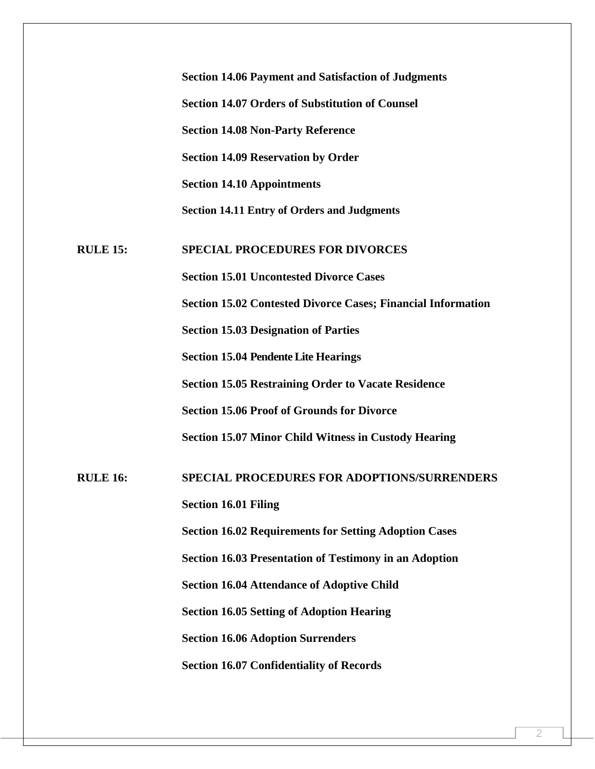|                 | <b>Section 14.06 Payment and Satisfaction of Judgments</b>          |
|-----------------|---------------------------------------------------------------------|
|                 | <b>Section 14.07 Orders of Substitution of Counsel</b>              |
|                 | <b>Section 14.08 Non-Party Reference</b>                            |
|                 | <b>Section 14.09 Reservation by Order</b>                           |
|                 | <b>Section 14.10 Appointments</b>                                   |
|                 | <b>Section 14.11 Entry of Orders and Judgments</b>                  |
| <b>RULE 15:</b> | <b>SPECIAL PROCEDURES FOR DIVORCES</b>                              |
|                 | <b>Section 15.01 Uncontested Divorce Cases</b>                      |
|                 | <b>Section 15.02 Contested Divorce Cases; Financial Information</b> |
|                 | <b>Section 15.03 Designation of Parties</b>                         |
|                 | <b>Section 15.04 Pendente Lite Hearings</b>                         |
|                 | <b>Section 15.05 Restraining Order to Vacate Residence</b>          |
|                 | <b>Section 15.06 Proof of Grounds for Divorce</b>                   |
|                 | <b>Section 15.07 Minor Child Witness in Custody Hearing</b>         |
| <b>RULE 16:</b> | <b>SPECIAL PROCEDURES FOR ADOPTIONS/SURRENDERS</b>                  |
|                 | <b>Section 16.01 Filing</b>                                         |
|                 | <b>Section 16.02 Requirements for Setting Adoption Cases</b>        |
|                 | <b>Section 16.03 Presentation of Testimony in an Adoption</b>       |
|                 | <b>Section 16.04 Attendance of Adoptive Child</b>                   |
|                 | <b>Section 16.05 Setting of Adoption Hearing</b>                    |
|                 | <b>Section 16.06 Adoption Surrenders</b>                            |
|                 | <b>Section 16.07 Confidentiality of Records</b>                     |
|                 |                                                                     |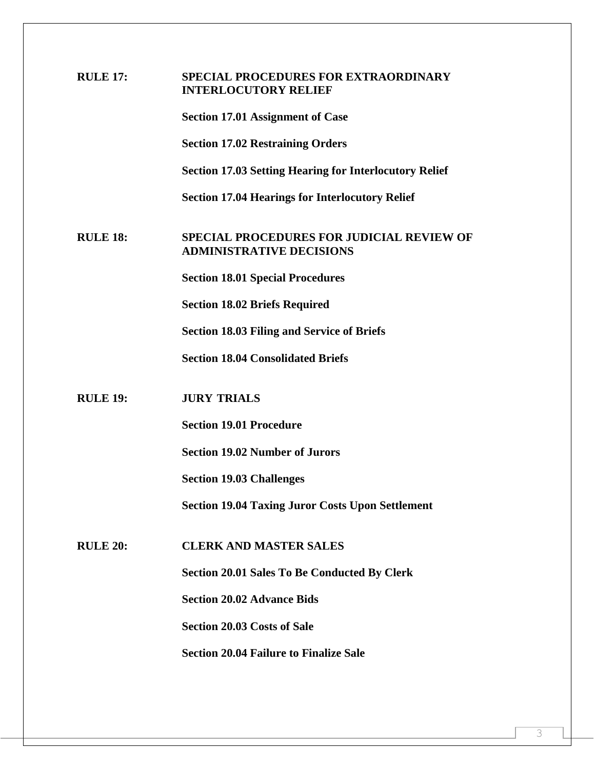| <b>RULE 17:</b> | SPECIAL PROCEDURES FOR EXTRAORDINARY<br><b>INTERLOCUTORY RELIEF</b>                 |  |
|-----------------|-------------------------------------------------------------------------------------|--|
|                 | <b>Section 17.01 Assignment of Case</b>                                             |  |
|                 | <b>Section 17.02 Restraining Orders</b>                                             |  |
|                 | <b>Section 17.03 Setting Hearing for Interlocutory Relief</b>                       |  |
|                 | <b>Section 17.04 Hearings for Interlocutory Relief</b>                              |  |
| <b>RULE 18:</b> | <b>SPECIAL PROCEDURES FOR JUDICIAL REVIEW OF</b><br><b>ADMINISTRATIVE DECISIONS</b> |  |
|                 | <b>Section 18.01 Special Procedures</b>                                             |  |
|                 | <b>Section 18.02 Briefs Required</b>                                                |  |
|                 | <b>Section 18.03 Filing and Service of Briefs</b>                                   |  |
|                 | <b>Section 18.04 Consolidated Briefs</b>                                            |  |
| <b>RULE 19:</b> | <b>JURY TRIALS</b>                                                                  |  |
|                 | <b>Section 19.01 Procedure</b>                                                      |  |
|                 | <b>Section 19.02 Number of Jurors</b>                                               |  |
|                 | <b>Section 19.03 Challenges</b>                                                     |  |
|                 | <b>Section 19.04 Taxing Juror Costs Upon Settlement</b>                             |  |
|                 |                                                                                     |  |
| <b>RULE 20:</b> | <b>CLERK AND MASTER SALES</b>                                                       |  |
|                 | <b>Section 20.01 Sales To Be Conducted By Clerk</b>                                 |  |
|                 | <b>Section 20.02 Advance Bids</b>                                                   |  |
|                 | <b>Section 20.03 Costs of Sale</b>                                                  |  |
|                 | <b>Section 20.04 Failure to Finalize Sale</b>                                       |  |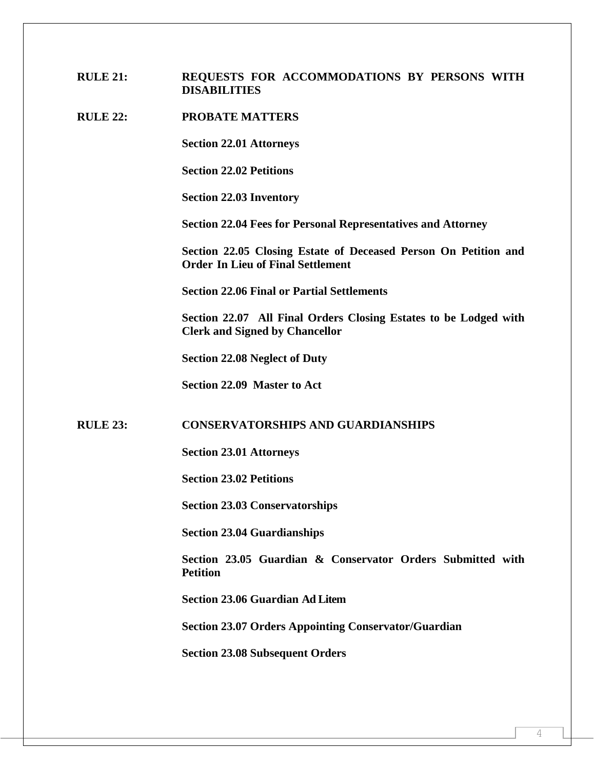## **RULE 21: REQUESTS FOR ACCOMMODATIONS BY PERSONS WITH DISABILITIES**

#### **RULE 22: PROBATE MATTERS**

**Section 22.01 Attorneys** 

**Section 22.02 Petitions** 

**Section 22.03 Inventory**

**Section 22.04 Fees for Personal Representatives and Attorney**

**Section 22.05 Closing Estate of Deceased Person On Petition and Order In Lieu of Final Settlement**

**Section 22.06 Final or Partial Settlements**

**Section 22.07 All Final Orders Closing Estates to be Lodged with Clerk and Signed by Chancellor**

**Section 22.08 Neglect of Duty**

**Section 22.09 Master to Act**

#### **RULE 23: CONSERVATORSHIPS AND GUARDIANSHIPS**

**Section 23.01 Attorneys**

**Section 23.02 Petitions**

**Section 23.03 Conservatorships**

**Section 23.04 Guardianships**

**Section 23.05 Guardian & Conservator Orders Submitted with Petition**

**Section 23.06 Guardian Ad Litem**

**Section 23.07 Orders Appointing Conservator/Guardian**

**Section 23.08 Subsequent Orders**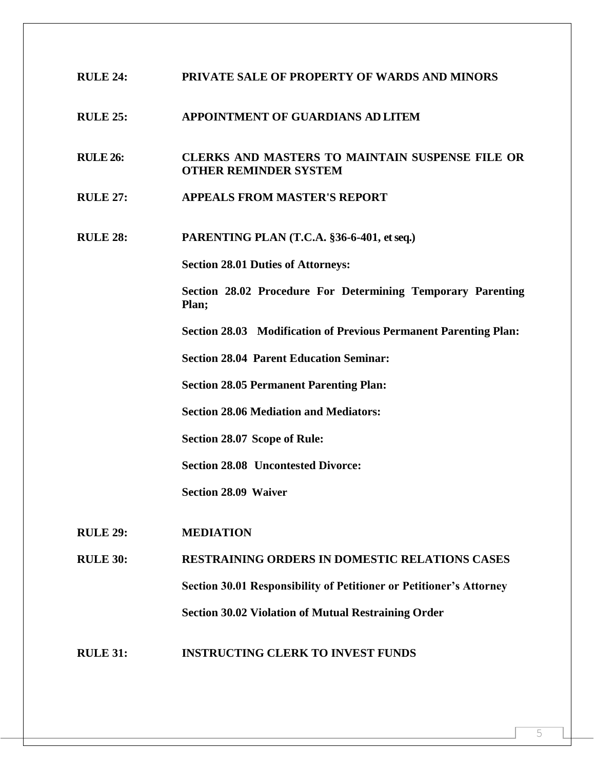# **RULE 24: PRIVATE SALE OF PROPERTY OF WARDS AND MINORS**

#### **RULE 25: APPOINTMENT OF GUARDIANS AD LITEM**

# **RULE 26: CLERKS AND MASTERS TO MAINTAIN SUSPENSE FILE OR OTHER REMINDER SYSTEM**

- **RULE 27: APPEALS FROM MASTER'S REPORT**
- **RULE 28: PARENTING PLAN (T.C.A. §36-6-401, et seq.)**

**Section 28.01 Duties of Attorneys:**

**Section 28.02 Procedure For Determining Temporary Parenting Plan;**

**Section 28.03 Modification of Previous Permanent Parenting Plan:**

**Section 28.04 Parent Education Seminar:**

**Section 28.05 Permanent Parenting Plan:**

**Section 28.06 Mediation and Mediators:**

**Section 28.07 Scope of Rule:**

**Section 28.08 Uncontested Divorce:**

**Section 28.09 Waiver**

**RULE 29: MEDIATION** 

**RULE 30: RESTRAINING ORDERS IN DOMESTIC RELATIONS CASES Section 30.01 Responsibility of Petitioner or Petitioner's Attorney Section 30.02 Violation of Mutual Restraining Order**

**RULE 31: INSTRUCTING CLERK TO INVEST FUNDS**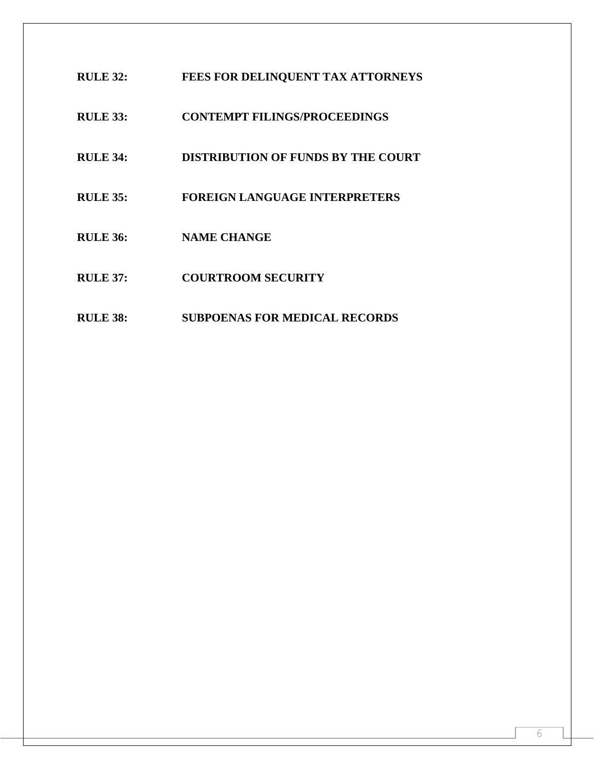- **RULE 32: FEES FOR DELINQUENT TAX ATTORNEYS**
- **RULE 33: CONTEMPT FILINGS/PROCEEDINGS**
- **RULE 34: DISTRIBUTION OF FUNDS BY THE COURT**
- **RULE 35: FOREIGN LANGUAGE INTERPRETERS**
- **RULE 36: NAME CHANGE**
- **RULE 37: COURTROOM SECURITY**
- **RULE 38: SUBPOENAS FOR MEDICAL RECORDS**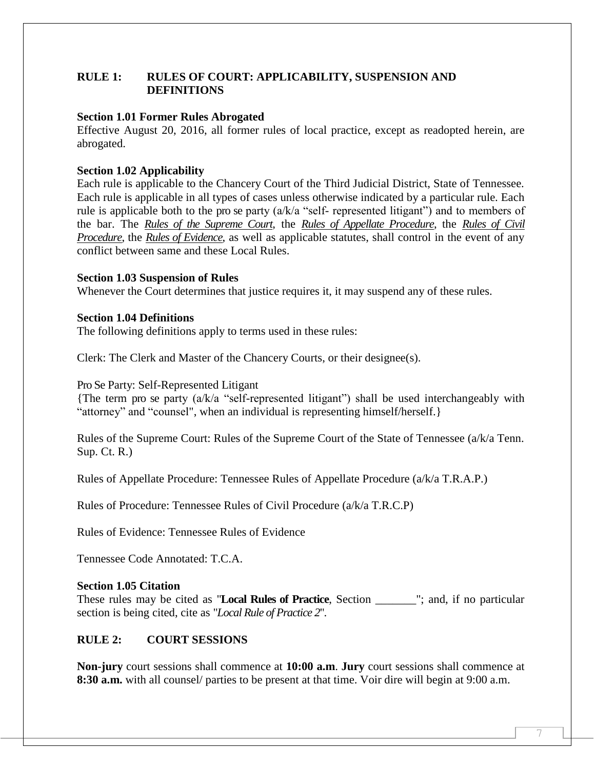# **RULE 1: RULES OF COURT: APPLICABILITY, SUSPENSION AND DEFINITIONS**

#### **Section 1.01 Former Rules Abrogated**

Effective August 20, 2016, all former rules of local practice, except as readopted herein, are abrogated.

#### **Section 1.02 Applicability**

Each rule is applicable to the Chancery Court of the Third Judicial District, State of Tennessee. Each rule is applicable in all types of cases unless otherwise indicated by a particular rule. Each rule is applicable both to the pro se party (a/k/a "self- represented litigant") and to members of the bar. The *Rules of the Supreme Court*, the *Rules of Appellate Procedure*, the *Rules of Civil Procedure*, the *Rules of Evidence*, as well as applicable statutes, shall control in the event of any conflict between same and these Local Rules.

#### **Section 1.03 Suspension of Rules**

Whenever the Court determines that justice requires it, it may suspend any of these rules.

#### **Section 1.04 Definitions**

The following definitions apply to terms used in these rules:

Clerk: The Clerk and Master of the Chancery Courts, or their designee(s).

#### Pro Se Party: Self-Represented Litigant

{The term pro se party (a/k/a "self-represented litigant") shall be used interchangeably with "attorney" and "counsel", when an individual is representing himself/herself.}

Rules of the Supreme Court: Rules of the Supreme Court of the State of Tennessee (a/k/a Tenn. Sup. Ct. R.)

Rules of Appellate Procedure: Tennessee Rules of Appellate Procedure (a/k/a T.R.A.P.)

Rules of Procedure: Tennessee Rules of Civil Procedure (a/k/a T.R.C.P)

Rules of Evidence: Tennessee Rules of Evidence

Tennessee Code Annotated: T.C.A.

#### **Section 1.05 Citation**

These rules may be cited as "**Local Rules of Practice**, Section  $\blacksquare$ ; and, if no particular section is being cited, cite as "*Local Rule of Practice 2*".

#### **RULE 2: COURT SESSIONS**

**Non-jury** court sessions shall commence at **10:00 a.m**. **Jury** court sessions shall commence at **8:30 a.m.** with all counsel/ parties to be present at that time. Voir dire will begin at 9:00 a.m.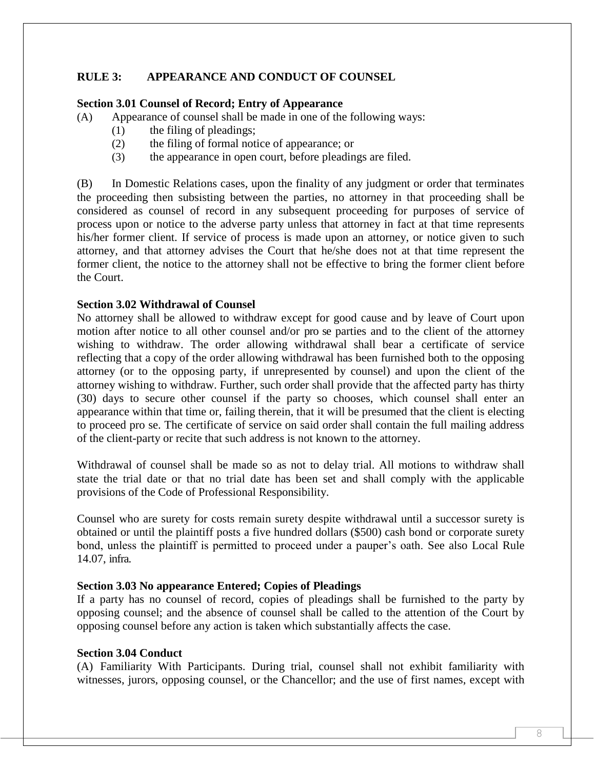# **RULE 3: APPEARANCE AND CONDUCT OF COUNSEL**

#### **Section 3.01 Counsel of Record; Entry of Appearance**

(A) Appearance of counsel shall be made in one of the following ways:

- (1) the filing of pleadings;
- (2) the filing of formal notice of appearance; or
- (3) the appearance in open court, before pleadings are filed.

(B) In Domestic Relations cases, upon the finality of any judgment or order that terminates the proceeding then subsisting between the parties, no attorney in that proceeding shall be considered as counsel of record in any subsequent proceeding for purposes of service of process upon or notice to the adverse party unless that attorney in fact at that time represents his/her former client. If service of process is made upon an attorney, or notice given to such attorney, and that attorney advises the Court that he/she does not at that time represent the former client, the notice to the attorney shall not be effective to bring the former client before the Court.

#### **Section 3.02 Withdrawal of Counsel**

No attorney shall be allowed to withdraw except for good cause and by leave of Court upon motion after notice to all other counsel and/or pro se parties and to the client of the attorney wishing to withdraw. The order allowing withdrawal shall bear a certificate of service reflecting that a copy of the order allowing withdrawal has been furnished both to the opposing attorney (or to the opposing party, if unrepresented by counsel) and upon the client of the attorney wishing to withdraw. Further, such order shall provide that the affected party has thirty (30) days to secure other counsel if the party so chooses, which counsel shall enter an appearance within that time or, failing therein, that it will be presumed that the client is electing to proceed pro se. The certificate of service on said order shall contain the full mailing address of the client-party or recite that such address is not known to the attorney.

Withdrawal of counsel shall be made so as not to delay trial. All motions to withdraw shall state the trial date or that no trial date has been set and shall comply with the applicable provisions of the Code of Professional Responsibility.

Counsel who are surety for costs remain surety despite withdrawal until a successor surety is obtained or until the plaintiff posts a five hundred dollars (\$500) cash bond or corporate surety bond, unless the plaintiff is permitted to proceed under a pauper's oath. See also Local Rule 14.07, infra.

#### **Section 3.03 No appearance Entered; Copies of Pleadings**

If a party has no counsel of record, copies of pleadings shall be furnished to the party by opposing counsel; and the absence of counsel shall be called to the attention of the Court by opposing counsel before any action is taken which substantially affects the case.

#### **Section 3.04 Conduct**

(A) Familiarity With Participants. During trial, counsel shall not exhibit familiarity with witnesses, jurors, opposing counsel, or the Chancellor; and the use of first names, except with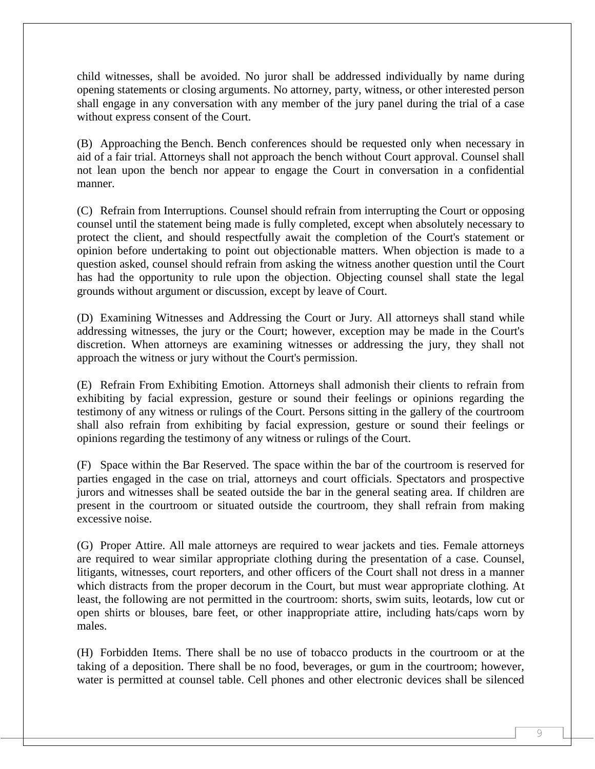child witnesses, shall be avoided. No juror shall be addressed individually by name during opening statements or closing arguments. No attorney, party, witness, or other interested person shall engage in any conversation with any member of the jury panel during the trial of a case without express consent of the Court.

(B) Approaching the Bench. Bench conferences should be requested only when necessary in aid of a fair trial. Attorneys shall not approach the bench without Court approval. Counsel shall not lean upon the bench nor appear to engage the Court in conversation in a confidential manner.

(C) Refrain from Interruptions. Counsel should refrain from interrupting the Court or opposing counsel until the statement being made is fully completed, except when absolutely necessary to protect the client, and should respectfully await the completion of the Court's statement or opinion before undertaking to point out objectionable matters. When objection is made to a question asked, counsel should refrain from asking the witness another question until the Court has had the opportunity to rule upon the objection. Objecting counsel shall state the legal grounds without argument or discussion, except by leave of Court.

(D) Examining Witnesses and Addressing the Court or Jury. All attorneys shall stand while addressing witnesses, the jury or the Court; however, exception may be made in the Court's discretion. When attorneys are examining witnesses or addressing the jury, they shall not approach the witness or jury without the Court's permission.

(E) Refrain From Exhibiting Emotion. Attorneys shall admonish their clients to refrain from exhibiting by facial expression, gesture or sound their feelings or opinions regarding the testimony of any witness or rulings of the Court. Persons sitting in the gallery of the courtroom shall also refrain from exhibiting by facial expression, gesture or sound their feelings or opinions regarding the testimony of any witness or rulings of the Court.

(F) Space within the Bar Reserved. The space within the bar of the courtroom is reserved for parties engaged in the case on trial, attorneys and court officials. Spectators and prospective jurors and witnesses shall be seated outside the bar in the general seating area. If children are present in the courtroom or situated outside the courtroom, they shall refrain from making excessive noise.

(G) Proper Attire. All male attorneys are required to wear jackets and ties. Female attorneys are required to wear similar appropriate clothing during the presentation of a case. Counsel, litigants, witnesses, court reporters, and other officers of the Court shall not dress in a manner which distracts from the proper decorum in the Court, but must wear appropriate clothing. At least, the following are not permitted in the courtroom: shorts, swim suits, leotards, low cut or open shirts or blouses, bare feet, or other inappropriate attire, including hats/caps worn by males.

(H) Forbidden Items. There shall be no use of tobacco products in the courtroom or at the taking of a deposition. There shall be no food, beverages, or gum in the courtroom; however, water is permitted at counsel table. Cell phones and other electronic devices shall be silenced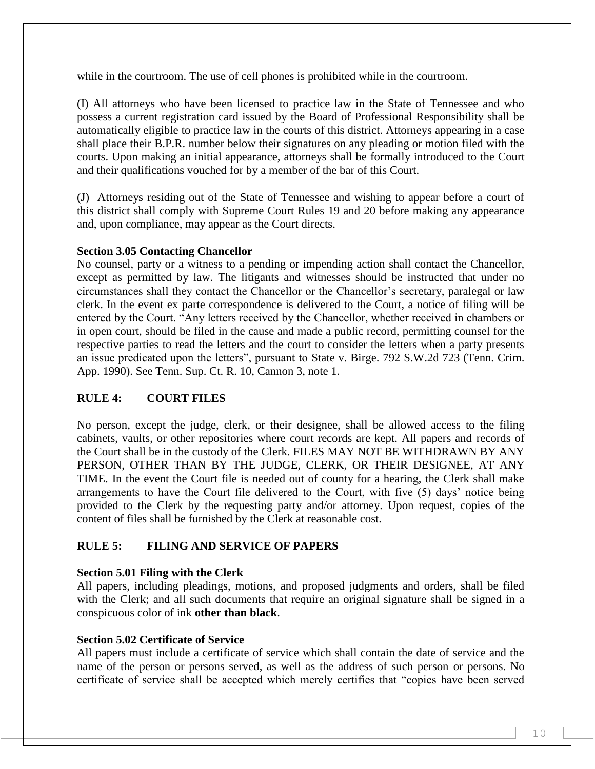while in the courtroom. The use of cell phones is prohibited while in the courtroom.

(I) All attorneys who have been licensed to practice law in the State of Tennessee and who possess a current registration card issued by the Board of Professional Responsibility shall be automatically eligible to practice law in the courts of this district. Attorneys appearing in a case shall place their B.P.R. number below their signatures on any pleading or motion filed with the courts. Upon making an initial appearance, attorneys shall be formally introduced to the Court and their qualifications vouched for by a member of the bar of this Court.

(J) Attorneys residing out of the State of Tennessee and wishing to appear before a court of this district shall comply with Supreme Court Rules 19 and 20 before making any appearance and, upon compliance, may appear as the Court directs.

# **Section 3.05 Contacting Chancellor**

No counsel, party or a witness to a pending or impending action shall contact the Chancellor, except as permitted by law. The litigants and witnesses should be instructed that under no circumstances shall they contact the Chancellor or the Chancellor's secretary, paralegal or law clerk. In the event ex parte correspondence is delivered to the Court, a notice of filing will be entered by the Court. "Any letters received by the Chancellor, whether received in chambers or in open court, should be filed in the cause and made a public record, permitting counsel for the respective parties to read the letters and the court to consider the letters when a party presents an issue predicated upon the letters", pursuant to State v. Birge. 792 S.W.2d 723 (Tenn. Crim. App. 1990). See Tenn. Sup. Ct. R. 10, Cannon 3, note 1.

# **RULE 4: COURT FILES**

No person, except the judge, clerk, or their designee, shall be allowed access to the filing cabinets, vaults, or other repositories where court records are kept. All papers and records of the Court shall be in the custody of the Clerk. FILES MAY NOT BE WITHDRAWN BY ANY PERSON, OTHER THAN BY THE JUDGE, CLERK, OR THEIR DESIGNEE, AT ANY TIME. In the event the Court file is needed out of county for a hearing, the Clerk shall make arrangements to have the Court file delivered to the Court, with five (5) days' notice being provided to the Clerk by the requesting party and/or attorney. Upon request, copies of the content of files shall be furnished by the Clerk at reasonable cost.

# **RULE 5: FILING AND SERVICE OF PAPERS**

# **Section 5.01 Filing with the Clerk**

All papers, including pleadings, motions, and proposed judgments and orders, shall be filed with the Clerk; and all such documents that require an original signature shall be signed in a conspicuous color of ink **other than black**.

#### **Section 5.02 Certificate of Service**

All papers must include a certificate of service which shall contain the date of service and the name of the person or persons served, as well as the address of such person or persons. No certificate of service shall be accepted which merely certifies that "copies have been served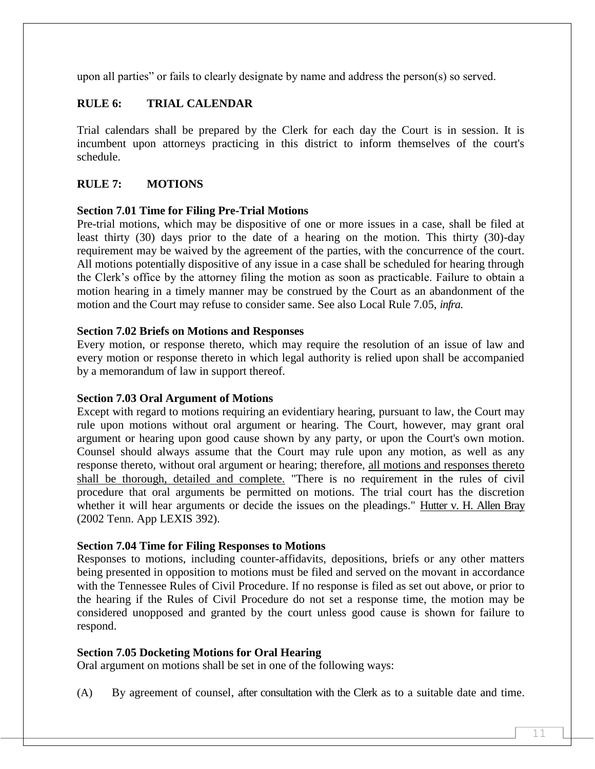upon all parties" or fails to clearly designate by name and address the person(s) so served.

# **RULE 6: TRIAL CALENDAR**

Trial calendars shall be prepared by the Clerk for each day the Court is in session. It is incumbent upon attorneys practicing in this district to inform themselves of the court's schedule.

# **RULE 7: MOTIONS**

# **Section 7.01 Time for Filing Pre-Trial Motions**

Pre-trial motions, which may be dispositive of one or more issues in a case, shall be filed at least thirty (30) days prior to the date of a hearing on the motion. This thirty (30)-day requirement may be waived by the agreement of the parties, with the concurrence of the court. All motions potentially dispositive of any issue in a case shall be scheduled for hearing through the Clerk's office by the attorney filing the motion as soon as practicable. Failure to obtain a motion hearing in a timely manner may be construed by the Court as an abandonment of the motion and the Court may refuse to consider same. See also Local Rule 7.05, *infra*.

# **Section 7.02 Briefs on Motions and Responses**

Every motion, or response thereto, which may require the resolution of an issue of law and every motion or response thereto in which legal authority is relied upon shall be accompanied by a memorandum of law in support thereof.

# **Section 7.03 Oral Argument of Motions**

Except with regard to motions requiring an evidentiary hearing, pursuant to law, the Court may rule upon motions without oral argument or hearing. The Court, however, may grant oral argument or hearing upon good cause shown by any party, or upon the Court's own motion. Counsel should always assume that the Court may rule upon any motion, as well as any response thereto, without oral argument or hearing; therefore, all motions and responses thereto shall be thorough, detailed and complete. "There is no requirement in the rules of civil procedure that oral arguments be permitted on motions. The trial court has the discretion whether it will hear arguments or decide the issues on the pleadings." Hutter v. H. Allen Bray (2002 Tenn. App LEXIS 392).

#### **Section 7.04 Time for Filing Responses to Motions**

Responses to motions, including counter-affidavits, depositions, briefs or any other matters being presented in opposition to motions must be filed and served on the movant in accordance with the Tennessee Rules of Civil Procedure. If no response is filed as set out above, or prior to the hearing if the Rules of Civil Procedure do not set a response time, the motion may be considered unopposed and granted by the court unless good cause is shown for failure to respond.

# **Section 7.05 Docketing Motions for Oral Hearing**

Oral argument on motions shall be set in one of the following ways:

(A) By agreement of counsel, after consultation with the Clerk as to a suitable date and time.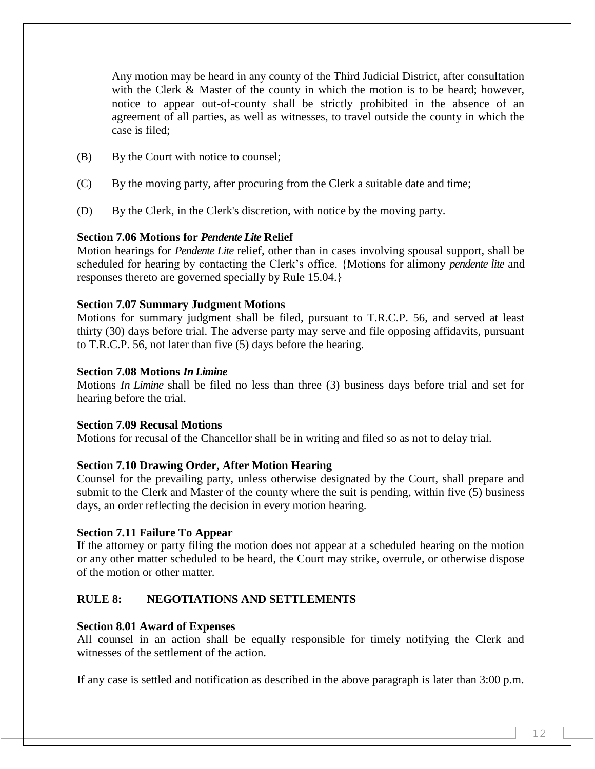Any motion may be heard in any county of the Third Judicial District, after consultation with the Clerk & Master of the county in which the motion is to be heard; however, notice to appear out-of-county shall be strictly prohibited in the absence of an agreement of all parties, as well as witnesses, to travel outside the county in which the case is filed;

- (B) By the Court with notice to counsel;
- (C) By the moving party, after procuring from the Clerk a suitable date and time;
- (D) By the Clerk, in the Clerk's discretion, with notice by the moving party.

#### **Section 7.06 Motions for** *Pendente Lite* **Relief**

Motion hearings for *Pendente Lite* relief, other than in cases involving spousal support, shall be scheduled for hearing by contacting the Clerk's office. {Motions for alimony *pendente lite* and responses thereto are governed specially by Rule 15.04.}

#### **Section 7.07 Summary Judgment Motions**

Motions for summary judgment shall be filed, pursuant to T.R.C.P. 56, and served at least thirty (30) days before trial. The adverse party may serve and file opposing affidavits, pursuant to T.R.C.P. 56, not later than five (5) days before the hearing.

#### **Section 7.08 Motions** *In Limine*

Motions *In Limine* shall be filed no less than three (3) business days before trial and set for hearing before the trial.

#### **Section 7.09 Recusal Motions**

Motions for recusal of the Chancellor shall be in writing and filed so as not to delay trial.

#### **Section 7.10 Drawing Order, After Motion Hearing**

Counsel for the prevailing party, unless otherwise designated by the Court, shall prepare and submit to the Clerk and Master of the county where the suit is pending, within five (5) business days, an order reflecting the decision in every motion hearing.

#### **Section 7.11 Failure To Appear**

If the attorney or party filing the motion does not appear at a scheduled hearing on the motion or any other matter scheduled to be heard, the Court may strike, overrule, or otherwise dispose of the motion or other matter.

# **RULE 8: NEGOTIATIONS AND SETTLEMENTS**

#### **Section 8.01 Award of Expenses**

All counsel in an action shall be equally responsible for timely notifying the Clerk and witnesses of the settlement of the action.

If any case is settled and notification as described in the above paragraph is later than 3:00 p.m.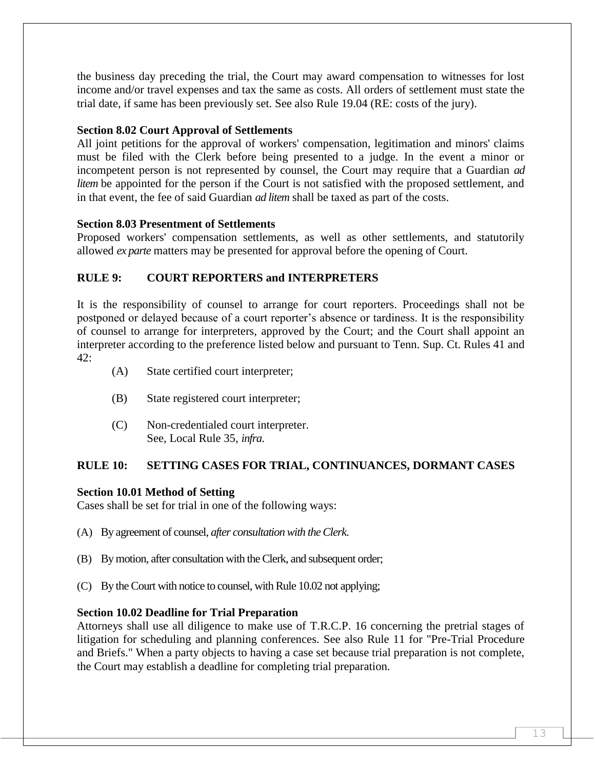the business day preceding the trial, the Court may award compensation to witnesses for lost income and/or travel expenses and tax the same as costs. All orders of settlement must state the trial date, if same has been previously set. See also Rule 19.04 (RE: costs of the jury).

# **Section 8.02 Court Approval of Settlements**

All joint petitions for the approval of workers' compensation, legitimation and minors' claims must be filed with the Clerk before being presented to a judge. In the event a minor or incompetent person is not represented by counsel, the Court may require that a Guardian *ad litem* be appointed for the person if the Court is not satisfied with the proposed settlement, and in that event, the fee of said Guardian *ad litem* shall be taxed as part of the costs.

# **Section 8.03 Presentment of Settlements**

Proposed workers' compensation settlements, as well as other settlements, and statutorily allowed *ex parte* matters may be presented for approval before the opening of Court.

# **RULE 9: COURT REPORTERS and INTERPRETERS**

It is the responsibility of counsel to arrange for court reporters. Proceedings shall not be postponed or delayed because of a court reporter's absence or tardiness. It is the responsibility of counsel to arrange for interpreters, approved by the Court; and the Court shall appoint an interpreter according to the preference listed below and pursuant to Tenn. Sup. Ct. Rules 41 and 42:

- (A) State certified court interpreter;
- (B) State registered court interpreter;
- (C) Non-credentialed court interpreter. See, Local Rule 35, *infra*.

# **RULE 10: SETTING CASES FOR TRIAL, CONTINUANCES, DORMANT CASES**

# **Section 10.01 Method of Setting**

Cases shall be set for trial in one of the following ways:

- (A) By agreement of counsel, *after consultation with the Clerk*.
- (B) By motion, after consultation with the Clerk, and subsequent order;
- (C) By the Court with notice to counsel, with Rule 10.02 not applying;

# **Section 10.02 Deadline for Trial Preparation**

Attorneys shall use all diligence to make use of T.R.C.P. 16 concerning the pretrial stages of litigation for scheduling and planning conferences. See also Rule 11 for "Pre-Trial Procedure and Briefs." When a party objects to having a case set because trial preparation is not complete, the Court may establish a deadline for completing trial preparation*.*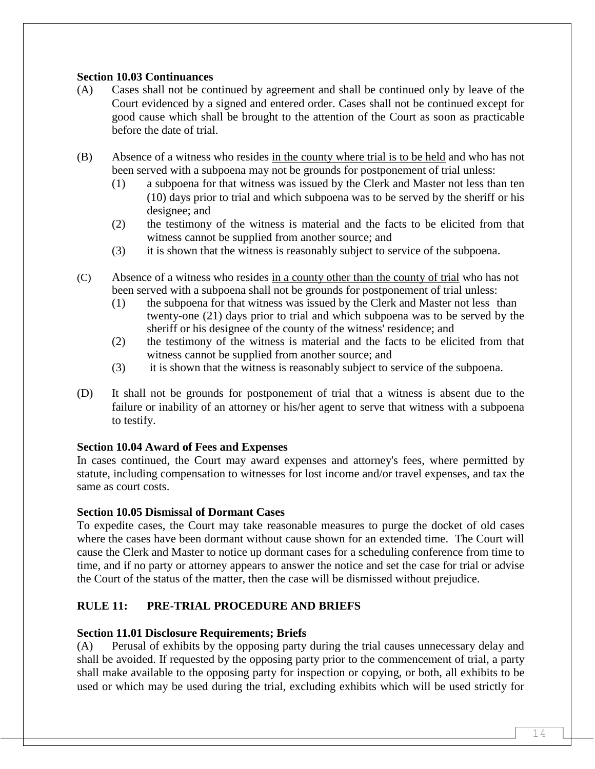# **Section 10.03 Continuances**

- (A) Cases shall not be continued by agreement and shall be continued only by leave of the Court evidenced by a signed and entered order. Cases shall not be continued except for good cause which shall be brought to the attention of the Court as soon as practicable before the date of trial.
- (B) Absence of a witness who resides in the county where trial is to be held and who has not been served with a subpoena may not be grounds for postponement of trial unless:
	- (1) a subpoena for that witness was issued by the Clerk and Master not less than ten (10) days prior to trial and which subpoena was to be served by the sheriff or his designee; and
	- (2) the testimony of the witness is material and the facts to be elicited from that witness cannot be supplied from another source; and
	- (3) it is shown that the witness is reasonably subject to service of the subpoena.
- (C) Absence of a witness who resides in a county other than the county of trial who has not been served with a subpoena shall not be grounds for postponement of trial unless:
	- (1) the subpoena for that witness was issued by the Clerk and Master not less than twenty-one (21) days prior to trial and which subpoena was to be served by the sheriff or his designee of the county of the witness' residence; and
	- (2) the testimony of the witness is material and the facts to be elicited from that witness cannot be supplied from another source; and
	- (3) it is shown that the witness is reasonably subject to service of the subpoena.
- (D) It shall not be grounds for postponement of trial that a witness is absent due to the failure or inability of an attorney or his/her agent to serve that witness with a subpoena to testify.

# **Section 10.04 Award of Fees and Expenses**

In cases continued, the Court may award expenses and attorney's fees, where permitted by statute, including compensation to witnesses for lost income and/or travel expenses, and tax the same as court costs.

# **Section 10.05 Dismissal of Dormant Cases**

To expedite cases, the Court may take reasonable measures to purge the docket of old cases where the cases have been dormant without cause shown for an extended time. The Court will cause the Clerk and Master to notice up dormant cases for a scheduling conference from time to time, and if no party or attorney appears to answer the notice and set the case for trial or advise the Court of the status of the matter, then the case will be dismissed without prejudice.

# **RULE 11: PRE-TRIAL PROCEDURE AND BRIEFS**

# **Section 11.01 Disclosure Requirements; Briefs**

(A) Perusal of exhibits by the opposing party during the trial causes unnecessary delay and shall be avoided. If requested by the opposing party prior to the commencement of trial, a party shall make available to the opposing party for inspection or copying, or both, all exhibits to be used or which may be used during the trial, excluding exhibits which will be used strictly for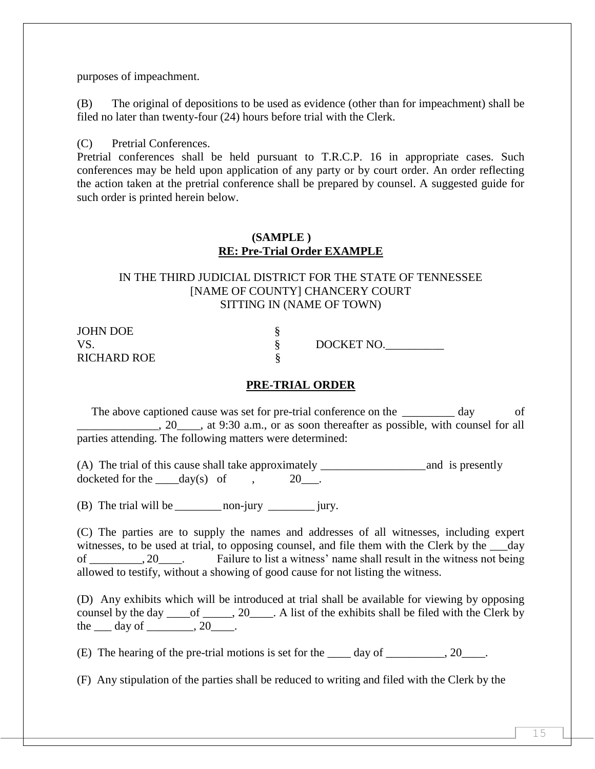purposes of impeachment.

(B) The original of depositions to be used as evidence (other than for impeachment) shall be filed no later than twenty-four (24) hours before trial with the Clerk.

(C) Pretrial Conferences.

Pretrial conferences shall be held pursuant to T.R.C.P. 16 in appropriate cases. Such conferences may be held upon application of any party or by court order. An order reflecting the action taken at the pretrial conference shall be prepared by counsel. A suggested guide for such order is printed herein below.

#### **(SAMPLE ) RE: Pre-Trial Order EXAMPLE**

#### IN THE THIRD JUDICIAL DISTRICT FOR THE STATE OF TENNESSEE [NAME OF COUNTY] CHANCERY COURT SITTING IN (NAME OF TOWN)

| <b>JOHN DOE</b>    |            |
|--------------------|------------|
| VS.                | DOCKET NO. |
| <b>RICHARD ROE</b> |            |

# **PRE-TRIAL ORDER**

The above captioned cause was set for pre-trial conference on the \_\_\_\_\_\_\_\_\_ day of  $\_,$  20<sub>\_\_\_\_</sub>, at 9:30 a.m., or as soon thereafter as possible, with counsel for all parties attending. The following matters were determined:

(A) The trial of this cause shall take approximately and is presently docketed for the  $\qquad \text{day(s)} \quad \text{of} \quad .$  20.

(B) The trial will be \_\_\_\_\_\_\_\_non-jury \_\_\_\_\_\_\_\_ jury.

(C) The parties are to supply the names and addresses of all witnesses, including expert witnesses, to be used at trial, to opposing counsel, and file them with the Clerk by the day of 20. Failure to list a witness' name shall result in the witness not being allowed to testify, without a showing of good cause for not listing the witness.

(D) Any exhibits which will be introduced at trial shall be available for viewing by opposing counsel by the day \_\_\_\_of \_\_\_\_\_, 20\_\_\_\_. A list of the exhibits shall be filed with the Clerk by the  $\rule{1em}{0.15mm}$  day of  $\rule{1em}{0.15mm}$ .

(E) The hearing of the pre-trial motions is set for the  $\_\_\_$  day of  $\_\_\_\_$ , 20 $\_\_\_\_$ .

(F) Any stipulation of the parties shall be reduced to writing and filed with the Clerk by the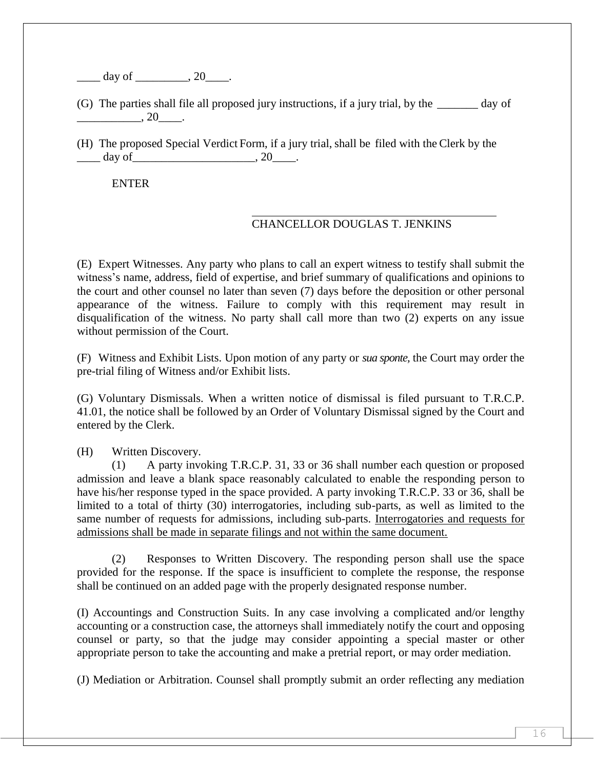$d$ ay of  $\qquad \qquad , 20$ 

(G) The parties shall file all proposed jury instructions, if a jury trial, by the \_\_\_\_\_\_\_ day of  $\overline{\phantom{2}}$ , 20 $\overline{\phantom{2}}$ .

(H) The proposed Special Verdict Form, if a jury trial, shall be filed with the Clerk by the  $\frac{\text{day of}}{\text{day of}}$ .

ENTER

# CHANCELLOR DOUGLAS T. JENKINS

(E) Expert Witnesses. Any party who plans to call an expert witness to testify shall submit the witness's name, address, field of expertise, and brief summary of qualifications and opinions to the court and other counsel no later than seven (7) days before the deposition or other personal appearance of the witness. Failure to comply with this requirement may result in disqualification of the witness. No party shall call more than two (2) experts on any issue without permission of the Court.

(F) Witness and Exhibit Lists. Upon motion of any party or *sua sponte,* the Court may order the pre-trial filing of Witness and/or Exhibit lists.

(G) Voluntary Dismissals. When a written notice of dismissal is filed pursuant to T.R.C.P. 41.01, the notice shall be followed by an Order of Voluntary Dismissal signed by the Court and entered by the Clerk.

(H) Written Discovery.

(1) A party invoking T.R.C.P. 31, 33 or 36 shall number each question or proposed admission and leave a blank space reasonably calculated to enable the responding person to have his/her response typed in the space provided. A party invoking T.R.C.P. 33 or 36, shall be limited to a total of thirty (30) interrogatories, including sub-parts, as well as limited to the same number of requests for admissions, including sub-parts. Interrogatories and requests for admissions shall be made in separate filings and not within the same document.

(2) Responses to Written Discovery. The responding person shall use the space provided for the response. If the space is insufficient to complete the response, the response shall be continued on an added page with the properly designated response number.

(I) Accountings and Construction Suits. In any case involving a complicated and/or lengthy accounting or a construction case, the attorneys shall immediately notify the court and opposing counsel or party, so that the judge may consider appointing a special master or other appropriate person to take the accounting and make a pretrial report, or may order mediation.

(J) Mediation or Arbitration. Counsel shall promptly submit an order reflecting any mediation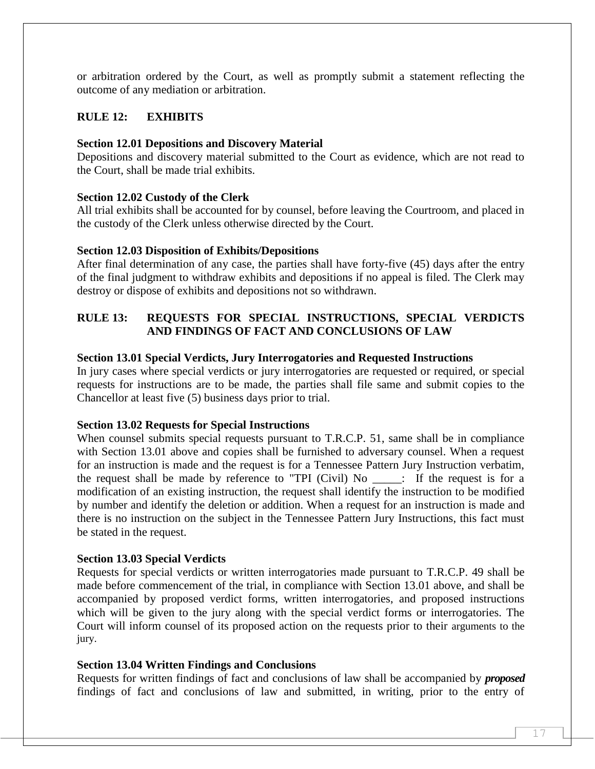or arbitration ordered by the Court, as well as promptly submit a statement reflecting the outcome of any mediation or arbitration.

# **RULE 12: EXHIBITS**

#### **Section 12.01 Depositions and Discovery Material**

Depositions and discovery material submitted to the Court as evidence, which are not read to the Court, shall be made trial exhibits.

#### **Section 12.02 Custody of the Clerk**

All trial exhibits shall be accounted for by counsel, before leaving the Courtroom, and placed in the custody of the Clerk unless otherwise directed by the Court.

#### **Section 12.03 Disposition of Exhibits/Depositions**

After final determination of any case, the parties shall have forty-five (45) days after the entry of the final judgment to withdraw exhibits and depositions if no appeal is filed. The Clerk may destroy or dispose of exhibits and depositions not so withdrawn.

# **RULE 13: REQUESTS FOR SPECIAL INSTRUCTIONS, SPECIAL VERDICTS AND FINDINGS OF FACT AND CONCLUSIONS OF LAW**

#### **Section 13.01 Special Verdicts, Jury Interrogatories and Requested Instructions**

In jury cases where special verdicts or jury interrogatories are requested or required, or special requests for instructions are to be made, the parties shall file same and submit copies to the Chancellor at least five (5) business days prior to trial.

#### **Section 13.02 Requests for Special Instructions**

When counsel submits special requests pursuant to T.R.C.P. 51, same shall be in compliance with Section 13.01 above and copies shall be furnished to adversary counsel. When a request for an instruction is made and the request is for a Tennessee Pattern Jury Instruction verbatim, the request shall be made by reference to "TPI (Civil) No  $\cdot$  If the request is for a modification of an existing instruction, the request shall identify the instruction to be modified by number and identify the deletion or addition. When a request for an instruction is made and there is no instruction on the subject in the Tennessee Pattern Jury Instructions, this fact must be stated in the request.

#### **Section 13.03 Special Verdicts**

Requests for special verdicts or written interrogatories made pursuant to T.R.C.P. 49 shall be made before commencement of the trial, in compliance with Section 13.01 above, and shall be accompanied by proposed verdict forms, written interrogatories, and proposed instructions which will be given to the jury along with the special verdict forms or interrogatories. The Court will inform counsel of its proposed action on the requests prior to their arguments to the jury.

#### **Section 13.04 Written Findings and Conclusions**

Requests for written findings of fact and conclusions of law shall be accompanied by *proposed*  findings of fact and conclusions of law and submitted, in writing, prior to the entry of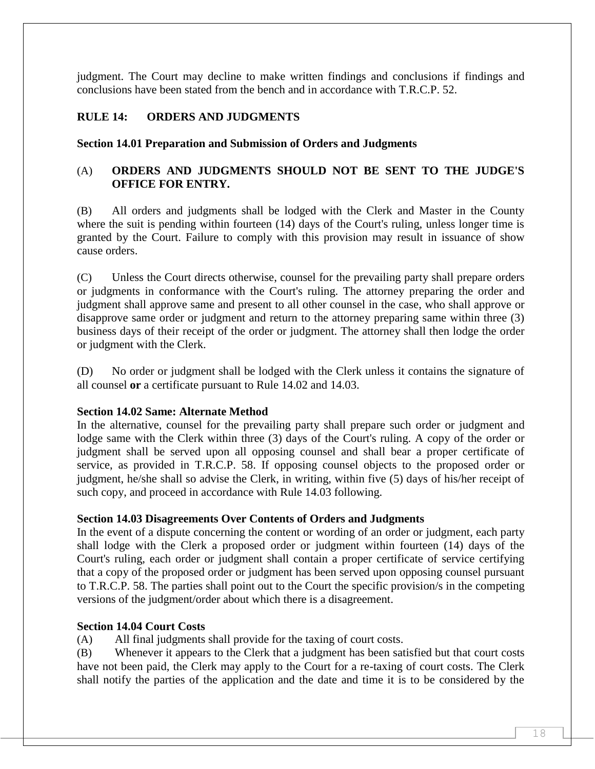judgment. The Court may decline to make written findings and conclusions if findings and conclusions have been stated from the bench and in accordance with T.R.C.P. 52.

# **RULE 14: ORDERS AND JUDGMENTS**

**Section 14.01 Preparation and Submission of Orders and Judgments**

# (A) **ORDERS AND JUDGMENTS SHOULD NOT BE SENT TO THE JUDGE'S OFFICE FOR ENTRY.**

(B) All orders and judgments shall be lodged with the Clerk and Master in the County where the suit is pending within fourteen (14) days of the Court's ruling, unless longer time is granted by the Court. Failure to comply with this provision may result in issuance of show cause orders.

(C) Unless the Court directs otherwise, counsel for the prevailing party shall prepare orders or judgments in conformance with the Court's ruling. The attorney preparing the order and judgment shall approve same and present to all other counsel in the case, who shall approve or disapprove same order or judgment and return to the attorney preparing same within three (3) business days of their receipt of the order or judgment. The attorney shall then lodge the order or judgment with the Clerk.

(D) No order or judgment shall be lodged with the Clerk unless it contains the signature of all counsel **or** a certificate pursuant to Rule 14.02 and 14.03.

#### **Section 14.02 Same: Alternate Method**

In the alternative, counsel for the prevailing party shall prepare such order or judgment and lodge same with the Clerk within three (3) days of the Court's ruling. A copy of the order or judgment shall be served upon all opposing counsel and shall bear a proper certificate of service, as provided in T.R.C.P. 58. If opposing counsel objects to the proposed order or judgment, he/she shall so advise the Clerk, in writing, within five (5) days of his/her receipt of such copy, and proceed in accordance with Rule 14.03 following.

#### **Section 14.03 Disagreements Over Contents of Orders and Judgments**

In the event of a dispute concerning the content or wording of an order or judgment, each party shall lodge with the Clerk a proposed order or judgment within fourteen (14) days of the Court's ruling, each order or judgment shall contain a proper certificate of service certifying that a copy of the proposed order or judgment has been served upon opposing counsel pursuant to T.R.C.P. 58. The parties shall point out to the Court the specific provision/s in the competing versions of the judgment/order about which there is a disagreement.

#### **Section 14.04 Court Costs**

(A) All final judgments shall provide for the taxing of court costs.

(B) Whenever it appears to the Clerk that a judgment has been satisfied but that court costs have not been paid, the Clerk may apply to the Court for a re-taxing of court costs. The Clerk shall notify the parties of the application and the date and time it is to be considered by the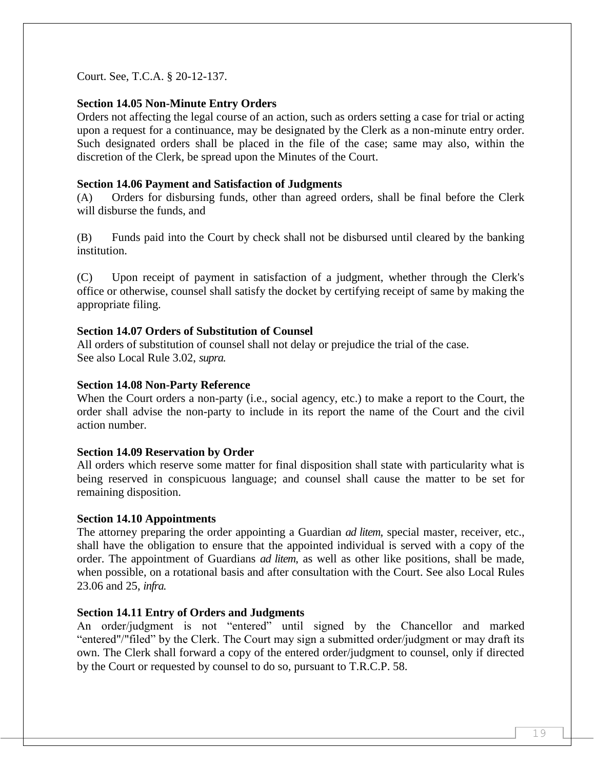Court. See, T.C.A. § 20-12-137.

#### **Section 14.05 Non-Minute Entry Orders**

Orders not affecting the legal course of an action, such as orders setting a case for trial or acting upon a request for a continuance, may be designated by the Clerk as a non-minute entry order. Such designated orders shall be placed in the file of the case; same may also, within the discretion of the Clerk, be spread upon the Minutes of the Court.

#### **Section 14.06 Payment and Satisfaction of Judgments**

(A) Orders for disbursing funds, other than agreed orders, shall be final before the Clerk will disburse the funds, and

(B) Funds paid into the Court by check shall not be disbursed until cleared by the banking institution.

(C) Upon receipt of payment in satisfaction of a judgment, whether through the Clerk's office or otherwise, counsel shall satisfy the docket by certifying receipt of same by making the appropriate filing.

#### **Section 14.07 Orders of Substitution of Counsel**

All orders of substitution of counsel shall not delay or prejudice the trial of the case. See also Local Rule 3.02, *supra.*

#### **Section 14.08 Non-Party Reference**

When the Court orders a non-party (i.e., social agency, etc.) to make a report to the Court, the order shall advise the non-party to include in its report the name of the Court and the civil action number.

#### **Section 14.09 Reservation by Order**

All orders which reserve some matter for final disposition shall state with particularity what is being reserved in conspicuous language; and counsel shall cause the matter to be set for remaining disposition.

#### **Section 14.10 Appointments**

The attorney preparing the order appointing a Guardian *ad litem*, special master, receiver, etc., shall have the obligation to ensure that the appointed individual is served with a copy of the order. The appointment of Guardians *ad litem*, as well as other like positions, shall be made, when possible, on a rotational basis and after consultation with the Court. See also Local Rules 23.06 and 25, *infra.*

#### **Section 14.11 Entry of Orders and Judgments**

An order/judgment is not "entered" until signed by the Chancellor and marked "entered"/"filed" by the Clerk. The Court may sign a submitted order/judgment or may draft its own. The Clerk shall forward a copy of the entered order/judgment to counsel, only if directed by the Court or requested by counsel to do so, pursuant to T.R.C.P. 58.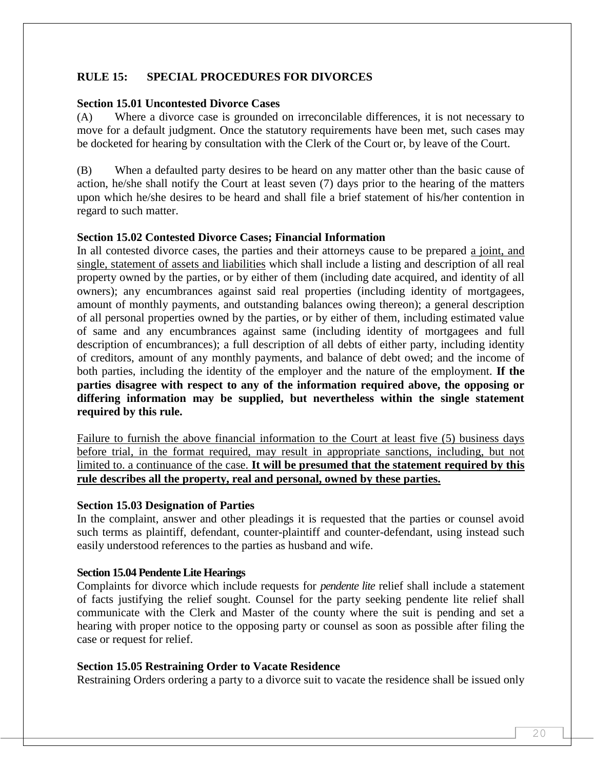# **RULE 15: SPECIAL PROCEDURES FOR DIVORCES**

#### **Section 15.01 Uncontested Divorce Cases**

(A) Where a divorce case is grounded on irreconcilable differences, it is not necessary to move for a default judgment. Once the statutory requirements have been met, such cases may be docketed for hearing by consultation with the Clerk of the Court or, by leave of the Court.

(B) When a defaulted party desires to be heard on any matter other than the basic cause of action, he/she shall notify the Court at least seven (7) days prior to the hearing of the matters upon which he/she desires to be heard and shall file a brief statement of his/her contention in regard to such matter.

#### **Section 15.02 Contested Divorce Cases; Financial Information**

In all contested divorce cases, the parties and their attorneys cause to be prepared a joint, and single, statement of assets and liabilities which shall include a listing and description of all real property owned by the parties, or by either of them (including date acquired, and identity of all owners); any encumbrances against said real properties (including identity of mortgagees, amount of monthly payments, and outstanding balances owing thereon); a general description of all personal properties owned by the parties, or by either of them, including estimated value of same and any encumbrances against same (including identity of mortgagees and full description of encumbrances); a full description of all debts of either party, including identity of creditors, amount of any monthly payments, and balance of debt owed; and the income of both parties, including the identity of the employer and the nature of the employment. **If the parties disagree with respect to any of the information required above, the opposing or differing information may be supplied, but nevertheless within the single statement required by this rule.**

Failure to furnish the above financial information to the Court at least five (5) business days before trial, in the format required, may result in appropriate sanctions, including, but not limited to. a continuance of the case. **It will be presumed that the statement required by this rule describes all the property, real and personal, owned by these parties.**

#### **Section 15.03 Designation of Parties**

In the complaint, answer and other pleadings it is requested that the parties or counsel avoid such terms as plaintiff, defendant, counter-plaintiff and counter-defendant, using instead such easily understood references to the parties as husband and wife.

#### **Section 15.04 Pendente Lite Hearings**

Complaints for divorce which include requests for *pendente lite* relief shall include a statement of facts justifying the relief sought. Counsel for the party seeking pendente lite relief shall communicate with the Clerk and Master of the county where the suit is pending and set a hearing with proper notice to the opposing party or counsel as soon as possible after filing the case or request for relief.

#### **Section 15.05 Restraining Order to Vacate Residence**

Restraining Orders ordering a party to a divorce suit to vacate the residence shall be issued only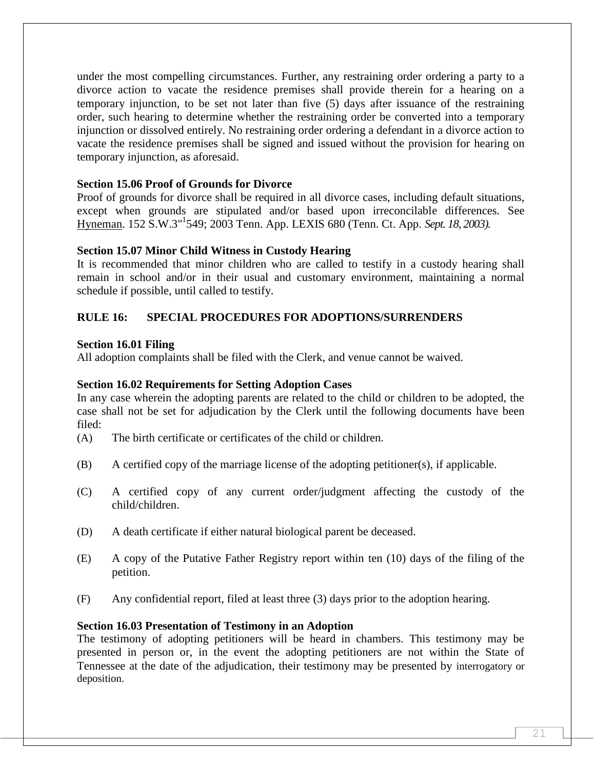under the most compelling circumstances. Further, any restraining order ordering a party to a divorce action to vacate the residence premises shall provide therein for a hearing on a temporary injunction, to be set not later than five (5) days after issuance of the restraining order, such hearing to determine whether the restraining order be converted into a temporary injunction or dissolved entirely. No restraining order ordering a defendant in a divorce action to vacate the residence premises shall be signed and issued without the provision for hearing on temporary injunction, as aforesaid.

### **Section 15.06 Proof of Grounds for Divorce**

Proof of grounds for divorce shall be required in all divorce cases, including default situations, except when grounds are stipulated and/or based upon irreconcilable differences. See Hyneman. 152 S.W.3"<sup>1</sup> 549; 2003 Tenn. App. LEXIS 680 (Tenn. Ct. App. *Sept. 18, 2003).*

# **Section 15.07 Minor Child Witness in Custody Hearing**

It is recommended that minor children who are called to testify in a custody hearing shall remain in school and/or in their usual and customary environment, maintaining a normal schedule if possible, until called to testify.

# **RULE 16: SPECIAL PROCEDURES FOR ADOPTIONS/SURRENDERS**

# **Section 16.01 Filing**

All adoption complaints shall be filed with the Clerk, and venue cannot be waived.

# **Section 16.02 Requirements for Setting Adoption Cases**

In any case wherein the adopting parents are related to the child or children to be adopted, the case shall not be set for adjudication by the Clerk until the following documents have been filed:

- (A) The birth certificate or certificates of the child or children.
- (B) A certified copy of the marriage license of the adopting petitioner(s), if applicable.
- (C) A certified copy of any current order/judgment affecting the custody of the child/children.
- (D) A death certificate if either natural biological parent be deceased.
- (E) A copy of the Putative Father Registry report within ten (10) days of the filing of the petition.
- (F) Any confidential report, filed at least three (3) days prior to the adoption hearing.

#### **Section 16.03 Presentation of Testimony in an Adoption**

The testimony of adopting petitioners will be heard in chambers. This testimony may be presented in person or, in the event the adopting petitioners are not within the State of Tennessee at the date of the adjudication, their testimony may be presented by interrogatory or deposition.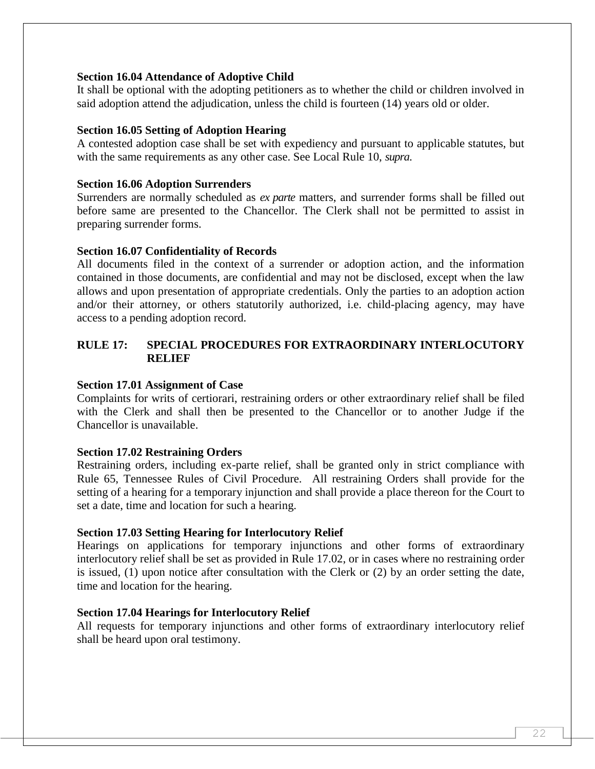#### **Section 16.04 Attendance of Adoptive Child**

It shall be optional with the adopting petitioners as to whether the child or children involved in said adoption attend the adjudication, unless the child is fourteen (14) years old or older.

#### **Section 16.05 Setting of Adoption Hearing**

A contested adoption case shall be set with expediency and pursuant to applicable statutes, but with the same requirements as any other case. See Local Rule 10, *supra*.

#### **Section 16.06 Adoption Surrenders**

Surrenders are normally scheduled as *ex parte* matters, and surrender forms shall be filled out before same are presented to the Chancellor. The Clerk shall not be permitted to assist in preparing surrender forms.

#### **Section 16.07 Confidentiality of Records**

All documents filed in the context of a surrender or adoption action, and the information contained in those documents, are confidential and may not be disclosed, except when the law allows and upon presentation of appropriate credentials. Only the parties to an adoption action and/or their attorney, or others statutorily authorized, i.e. child-placing agency, may have access to a pending adoption record.

# **RULE 17: SPECIAL PROCEDURES FOR EXTRAORDINARY INTERLOCUTORY RELIEF**

#### **Section 17.01 Assignment of Case**

Complaints for writs of certiorari, restraining orders or other extraordinary relief shall be filed with the Clerk and shall then be presented to the Chancellor or to another Judge if the Chancellor is unavailable.

#### **Section 17.02 Restraining Orders**

Restraining orders, including ex-parte relief, shall be granted only in strict compliance with Rule 65, Tennessee Rules of Civil Procedure. All restraining Orders shall provide for the setting of a hearing for a temporary injunction and shall provide a place thereon for the Court to set a date, time and location for such a hearing.

#### **Section 17.03 Setting Hearing for Interlocutory Relief**

Hearings on applications for temporary injunctions and other forms of extraordinary interlocutory relief shall be set as provided in Rule 17.02, or in cases where no restraining order is issued, (1) upon notice after consultation with the Clerk or (2) by an order setting the date, time and location for the hearing.

#### **Section 17.04 Hearings for Interlocutory Relief**

All requests for temporary injunctions and other forms of extraordinary interlocutory relief shall be heard upon oral testimony.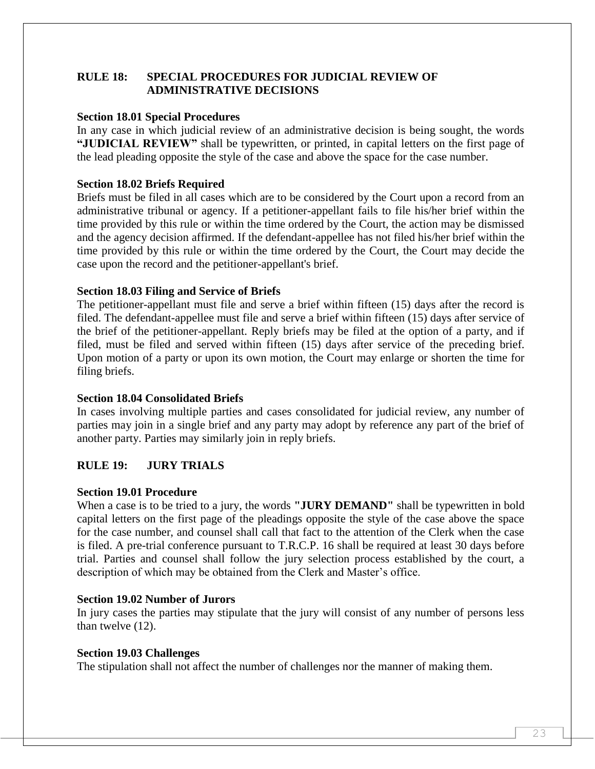# **RULE 18: SPECIAL PROCEDURES FOR JUDICIAL REVIEW OF ADMINISTRATIVE DECISIONS**

#### **Section 18.01 Special Procedures**

In any case in which judicial review of an administrative decision is being sought, the words **"JUDICIAL REVIEW"** shall be typewritten, or printed, in capital letters on the first page of the lead pleading opposite the style of the case and above the space for the case number.

#### **Section 18.02 Briefs Required**

Briefs must be filed in all cases which are to be considered by the Court upon a record from an administrative tribunal or agency. If a petitioner-appellant fails to file his/her brief within the time provided by this rule or within the time ordered by the Court, the action may be dismissed and the agency decision affirmed. If the defendant-appellee has not filed his/her brief within the time provided by this rule or within the time ordered by the Court, the Court may decide the case upon the record and the petitioner-appellant's brief.

#### **Section 18.03 Filing and Service of Briefs**

The petitioner-appellant must file and serve a brief within fifteen (15) days after the record is filed. The defendant-appellee must file and serve a brief within fifteen (15) days after service of the brief of the petitioner-appellant. Reply briefs may be filed at the option of a party, and if filed, must be filed and served within fifteen (15) days after service of the preceding brief. Upon motion of a party or upon its own motion, the Court may enlarge or shorten the time for filing briefs.

#### **Section 18.04 Consolidated Briefs**

In cases involving multiple parties and cases consolidated for judicial review, any number of parties may join in a single brief and any party may adopt by reference any part of the brief of another party. Parties may similarly join in reply briefs.

# **RULE 19: JURY TRIALS**

#### **Section 19.01 Procedure**

When a case is to be tried to a jury, the words **"JURY DEMAND"** shall be typewritten in bold capital letters on the first page of the pleadings opposite the style of the case above the space for the case number, and counsel shall call that fact to the attention of the Clerk when the case is filed. A pre-trial conference pursuant to T.R.C.P. 16 shall be required at least 30 days before trial. Parties and counsel shall follow the jury selection process established by the court, a description of which may be obtained from the Clerk and Master's office.

#### **Section 19.02 Number of Jurors**

In jury cases the parties may stipulate that the jury will consist of any number of persons less than twelve (12).

#### **Section 19.03 Challenges**

The stipulation shall not affect the number of challenges nor the manner of making them.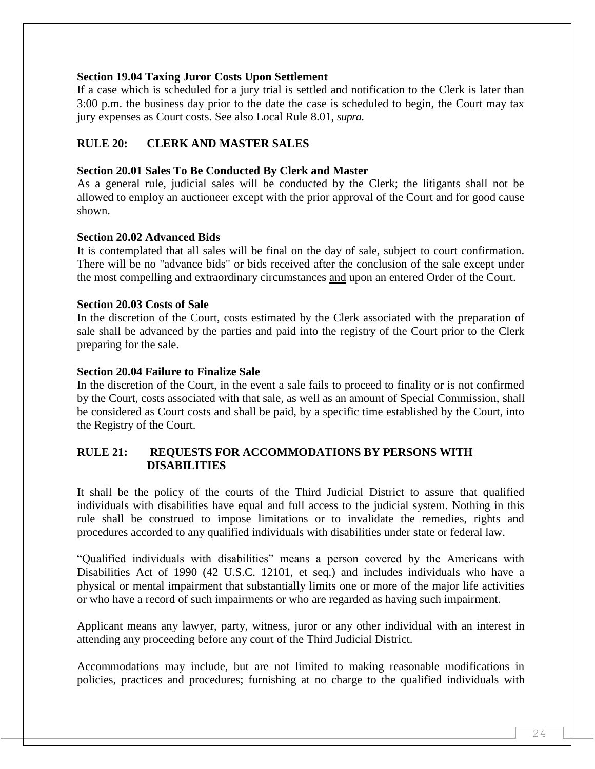#### **Section 19.04 Taxing Juror Costs Upon Settlement**

If a case which is scheduled for a jury trial is settled and notification to the Clerk is later than 3:00 p.m. the business day prior to the date the case is scheduled to begin, the Court may tax jury expenses as Court costs. See also Local Rule 8.01, *supra*.

# **RULE 20: CLERK AND MASTER SALES**

#### **Section 20.01 Sales To Be Conducted By Clerk and Master**

As a general rule, judicial sales will be conducted by the Clerk; the litigants shall not be allowed to employ an auctioneer except with the prior approval of the Court and for good cause shown.

#### **Section 20.02 Advanced Bids**

It is contemplated that all sales will be final on the day of sale, subject to court confirmation. There will be no "advance bids" or bids received after the conclusion of the sale except under the most compelling and extraordinary circumstances and upon an entered Order of the Court.

#### **Section 20.03 Costs of Sale**

In the discretion of the Court, costs estimated by the Clerk associated with the preparation of sale shall be advanced by the parties and paid into the registry of the Court prior to the Clerk preparing for the sale.

#### **Section 20.04 Failure to Finalize Sale**

In the discretion of the Court, in the event a sale fails to proceed to finality or is not confirmed by the Court, costs associated with that sale, as well as an amount of Special Commission, shall be considered as Court costs and shall be paid, by a specific time established by the Court, into the Registry of the Court.

#### **RULE 21: REQUESTS FOR ACCOMMODATIONS BY PERSONS WITH DISABILITIES**

It shall be the policy of the courts of the Third Judicial District to assure that qualified individuals with disabilities have equal and full access to the judicial system. Nothing in this rule shall be construed to impose limitations or to invalidate the remedies, rights and procedures accorded to any qualified individuals with disabilities under state or federal law.

"Qualified individuals with disabilities" means a person covered by the Americans with Disabilities Act of 1990 (42 U.S.C. 12101, et seq.) and includes individuals who have a physical or mental impairment that substantially limits one or more of the major life activities or who have a record of such impairments or who are regarded as having such impairment.

Applicant means any lawyer, party, witness, juror or any other individual with an interest in attending any proceeding before any court of the Third Judicial District.

Accommodations may include, but are not limited to making reasonable modifications in policies, practices and procedures; furnishing at no charge to the qualified individuals with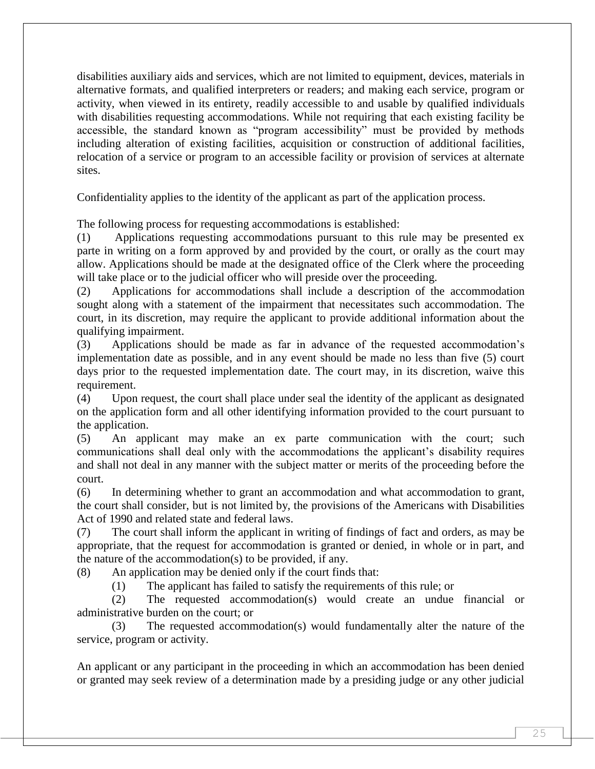disabilities auxiliary aids and services, which are not limited to equipment, devices, materials in alternative formats, and qualified interpreters or readers; and making each service, program or activity, when viewed in its entirety, readily accessible to and usable by qualified individuals with disabilities requesting accommodations. While not requiring that each existing facility be accessible, the standard known as "program accessibility" must be provided by methods including alteration of existing facilities, acquisition or construction of additional facilities, relocation of a service or program to an accessible facility or provision of services at alternate sites.

Confidentiality applies to the identity of the applicant as part of the application process.

The following process for requesting accommodations is established:

(1) Applications requesting accommodations pursuant to this rule may be presented ex parte in writing on a form approved by and provided by the court, or orally as the court may allow. Applications should be made at the designated office of the Clerk where the proceeding will take place or to the judicial officer who will preside over the proceeding.

(2) Applications for accommodations shall include a description of the accommodation sought along with a statement of the impairment that necessitates such accommodation. The court, in its discretion, may require the applicant to provide additional information about the qualifying impairment.

(3) Applications should be made as far in advance of the requested accommodation's implementation date as possible, and in any event should be made no less than five (5) court days prior to the requested implementation date. The court may, in its discretion, waive this requirement.

(4) Upon request, the court shall place under seal the identity of the applicant as designated on the application form and all other identifying information provided to the court pursuant to the application.

(5) An applicant may make an ex parte communication with the court; such communications shall deal only with the accommodations the applicant's disability requires and shall not deal in any manner with the subject matter or merits of the proceeding before the court.

(6) In determining whether to grant an accommodation and what accommodation to grant, the court shall consider, but is not limited by, the provisions of the Americans with Disabilities Act of 1990 and related state and federal laws.

(7) The court shall inform the applicant in writing of findings of fact and orders, as may be appropriate, that the request for accommodation is granted or denied, in whole or in part, and the nature of the accommodation(s) to be provided, if any.

(8) An application may be denied only if the court finds that:

(1) The applicant has failed to satisfy the requirements of this rule; or

(2) The requested accommodation(s) would create an undue financial or administrative burden on the court; or

(3) The requested accommodation(s) would fundamentally alter the nature of the service, program or activity.

An applicant or any participant in the proceeding in which an accommodation has been denied or granted may seek review of a determination made by a presiding judge or any other judicial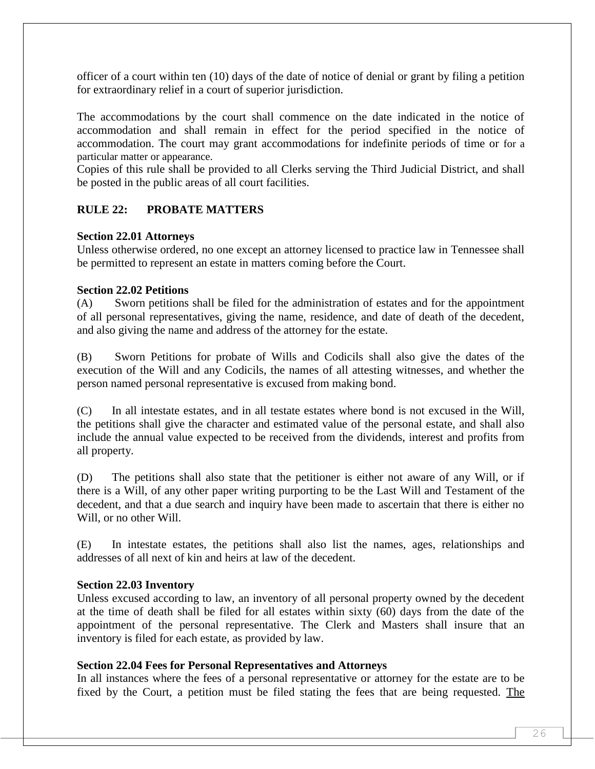officer of a court within ten (10) days of the date of notice of denial or grant by filing a petition for extraordinary relief in a court of superior jurisdiction.

The accommodations by the court shall commence on the date indicated in the notice of accommodation and shall remain in effect for the period specified in the notice of accommodation. The court may grant accommodations for indefinite periods of time or for a particular matter or appearance.

Copies of this rule shall be provided to all Clerks serving the Third Judicial District, and shall be posted in the public areas of all court facilities.

# **RULE 22: PROBATE MATTERS**

#### **Section 22.01 Attorneys**

Unless otherwise ordered, no one except an attorney licensed to practice law in Tennessee shall be permitted to represent an estate in matters coming before the Court.

#### **Section 22.02 Petitions**

(A) Sworn petitions shall be filed for the administration of estates and for the appointment of all personal representatives, giving the name, residence, and date of death of the decedent, and also giving the name and address of the attorney for the estate.

(B) Sworn Petitions for probate of Wills and Codicils shall also give the dates of the execution of the Will and any Codicils, the names of all attesting witnesses, and whether the person named personal representative is excused from making bond.

(C) In all intestate estates, and in all testate estates where bond is not excused in the Will, the petitions shall give the character and estimated value of the personal estate, and shall also include the annual value expected to be received from the dividends, interest and profits from all property.

(D) The petitions shall also state that the petitioner is either not aware of any Will, or if there is a Will, of any other paper writing purporting to be the Last Will and Testament of the decedent, and that a due search and inquiry have been made to ascertain that there is either no Will, or no other Will.

(E) In intestate estates, the petitions shall also list the names, ages, relationships and addresses of all next of kin and heirs at law of the decedent.

#### **Section 22.03 Inventory**

Unless excused according to law, an inventory of all personal property owned by the decedent at the time of death shall be filed for all estates within sixty (60) days from the date of the appointment of the personal representative. The Clerk and Masters shall insure that an inventory is filed for each estate, as provided by law.

#### **Section 22.04 Fees for Personal Representatives and Attorneys**

In all instances where the fees of a personal representative or attorney for the estate are to be fixed by the Court, a petition must be filed stating the fees that are being requested. The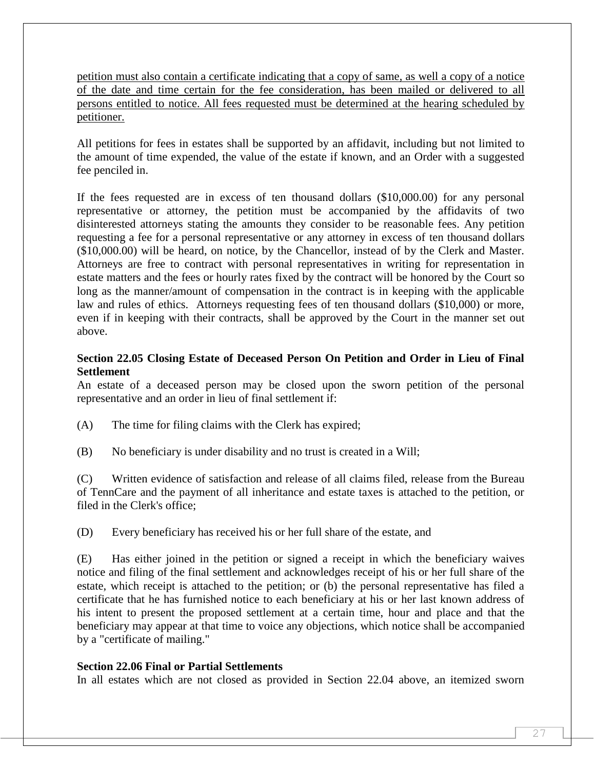petition must also contain a certificate indicating that a copy of same, as well a copy of a notice of the date and time certain for the fee consideration, has been mailed or delivered to all persons entitled to notice. All fees requested must be determined at the hearing scheduled by petitioner.

All petitions for fees in estates shall be supported by an affidavit, including but not limited to the amount of time expended, the value of the estate if known, and an Order with a suggested fee penciled in.

If the fees requested are in excess of ten thousand dollars (\$10,000.00) for any personal representative or attorney, the petition must be accompanied by the affidavits of two disinterested attorneys stating the amounts they consider to be reasonable fees. Any petition requesting a fee for a personal representative or any attorney in excess of ten thousand dollars (\$10,000.00) will be heard, on notice, by the Chancellor, instead of by the Clerk and Master. Attorneys are free to contract with personal representatives in writing for representation in estate matters and the fees or hourly rates fixed by the contract will be honored by the Court so long as the manner/amount of compensation in the contract is in keeping with the applicable law and rules of ethics. Attorneys requesting fees of ten thousand dollars (\$10,000) or more, even if in keeping with their contracts, shall be approved by the Court in the manner set out above.

# **Section 22.05 Closing Estate of Deceased Person On Petition and Order in Lieu of Final Settlement**

An estate of a deceased person may be closed upon the sworn petition of the personal representative and an order in lieu of final settlement if:

- (A) The time for filing claims with the Clerk has expired;
- (B) No beneficiary is under disability and no trust is created in a Will;

(C) Written evidence of satisfaction and release of all claims filed, release from the Bureau of TennCare and the payment of all inheritance and estate taxes is attached to the petition, or filed in the Clerk's office;

(D) Every beneficiary has received his or her full share of the estate, and

(E) Has either joined in the petition or signed a receipt in which the beneficiary waives notice and filing of the final settlement and acknowledges receipt of his or her full share of the estate, which receipt is attached to the petition; or (b) the personal representative has filed a certificate that he has furnished notice to each beneficiary at his or her last known address of his intent to present the proposed settlement at a certain time, hour and place and that the beneficiary may appear at that time to voice any objections, which notice shall be accompanied by a "certificate of mailing."

#### **Section 22.06 Final or Partial Settlements**

In all estates which are not closed as provided in Section 22.04 above, an itemized sworn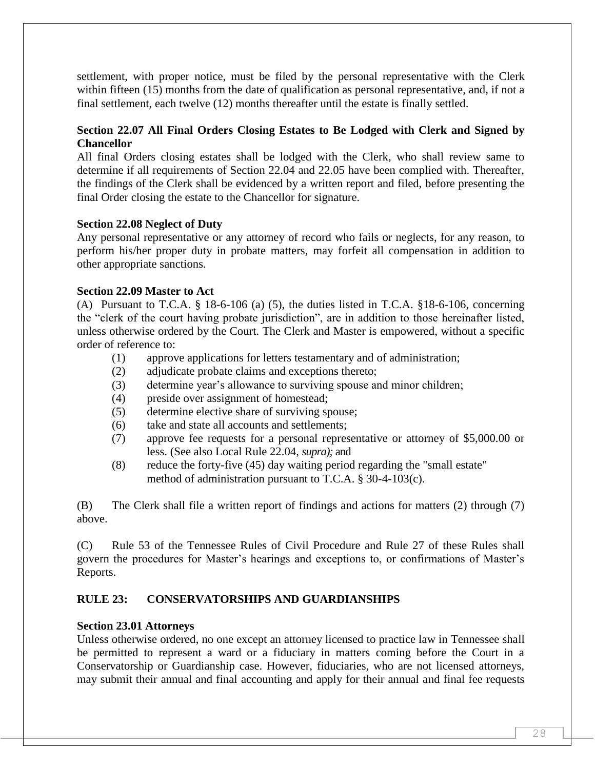settlement, with proper notice, must be filed by the personal representative with the Clerk within fifteen (15) months from the date of qualification as personal representative, and, if not a final settlement, each twelve (12) months thereafter until the estate is finally settled.

# **Section 22.07 All Final Orders Closing Estates to Be Lodged with Clerk and Signed by Chancellor**

All final Orders closing estates shall be lodged with the Clerk, who shall review same to determine if all requirements of Section 22.04 and 22.05 have been complied with. Thereafter, the findings of the Clerk shall be evidenced by a written report and filed, before presenting the final Order closing the estate to the Chancellor for signature.

#### **Section 22.08 Neglect of Duty**

Any personal representative or any attorney of record who fails or neglects, for any reason, to perform his/her proper duty in probate matters, may forfeit all compensation in addition to other appropriate sanctions.

#### **Section 22.09 Master to Act**

(A) Pursuant to T.C.A. § 18-6-106 (a) (5), the duties listed in T.C.A. §18-6-106, concerning the "clerk of the court having probate jurisdiction", are in addition to those hereinafter listed, unless otherwise ordered by the Court. The Clerk and Master is empowered, without a specific order of reference to:

- (1) approve applications for letters testamentary and of administration;
- (2) adjudicate probate claims and exceptions thereto;
- (3) determine year's allowance to surviving spouse and minor children;
- (4) preside over assignment of homestead;
- (5) determine elective share of surviving spouse;
- (6) take and state all accounts and settlements;
- (7) approve fee requests for a personal representative or attorney of \$5,000.00 or less. (See also Local Rule 22.04, *supra);* and
- (8) reduce the forty-five (45) day waiting period regarding the "small estate" method of administration pursuant to T.C.A. § 30-4-103(c).

(B) The Clerk shall file a written report of findings and actions for matters (2) through (7) above.

(C) Rule 53 of the Tennessee Rules of Civil Procedure and Rule 27 of these Rules shall govern the procedures for Master's hearings and exceptions to, or confirmations of Master's Reports.

# **RULE 23: CONSERVATORSHIPS AND GUARDIANSHIPS**

#### **Section 23.01 Attorneys**

Unless otherwise ordered, no one except an attorney licensed to practice law in Tennessee shall be permitted to represent a ward or a fiduciary in matters coming before the Court in a Conservatorship or Guardianship case. However, fiduciaries, who are not licensed attorneys, may submit their annual and final accounting and apply for their annual and final fee requests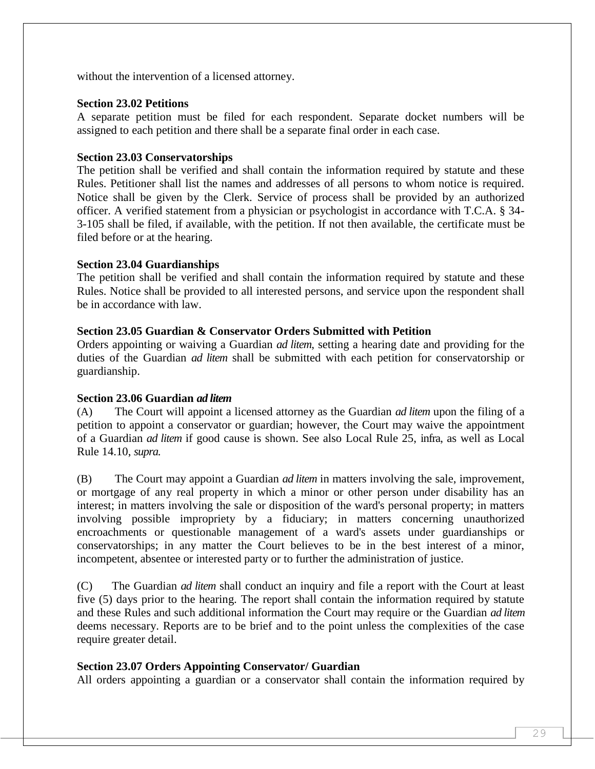without the intervention of a licensed attorney.

### **Section 23.02 Petitions**

A separate petition must be filed for each respondent. Separate docket numbers will be assigned to each petition and there shall be a separate final order in each case.

# **Section 23.03 Conservatorships**

The petition shall be verified and shall contain the information required by statute and these Rules. Petitioner shall list the names and addresses of all persons to whom notice is required. Notice shall be given by the Clerk. Service of process shall be provided by an authorized officer. A verified statement from a physician or psychologist in accordance with T.C.A. § 34- 3-105 shall be filed, if available, with the petition. If not then available, the certificate must be filed before or at the hearing.

# **Section 23.04 Guardianships**

The petition shall be verified and shall contain the information required by statute and these Rules. Notice shall be provided to all interested persons, and service upon the respondent shall be in accordance with law.

# **Section 23.05 Guardian & Conservator Orders Submitted with Petition**

Orders appointing or waiving a Guardian *ad litem*, setting a hearing date and providing for the duties of the Guardian *ad litem* shall be submitted with each petition for conservatorship or guardianship.

# **Section 23.06 Guardian** *ad litem*

(A) The Court will appoint a licensed attorney as the Guardian *ad litem* upon the filing of a petition to appoint a conservator or guardian; however, the Court may waive the appointment of a Guardian *ad litem* if good cause is shown. See also Local Rule 25, infra, as well as Local Rule 14.10, *supra.*

(B) The Court may appoint a Guardian *ad litem* in matters involving the sale, improvement, or mortgage of any real property in which a minor or other person under disability has an interest; in matters involving the sale or disposition of the ward's personal property; in matters involving possible impropriety by a fiduciary; in matters concerning unauthorized encroachments or questionable management of a ward's assets under guardianships or conservatorships; in any matter the Court believes to be in the best interest of a minor, incompetent, absentee or interested party or to further the administration of justice.

(C) The Guardian *ad litem* shall conduct an inquiry and file a report with the Court at least five (5) days prior to the hearing. The report shall contain the information required by statute and these Rules and such additional information the Court may require or the Guardian *ad litem*  deems necessary. Reports are to be brief and to the point unless the complexities of the case require greater detail.

# **Section 23.07 Orders Appointing Conservator/ Guardian**

All orders appointing a guardian or a conservator shall contain the information required by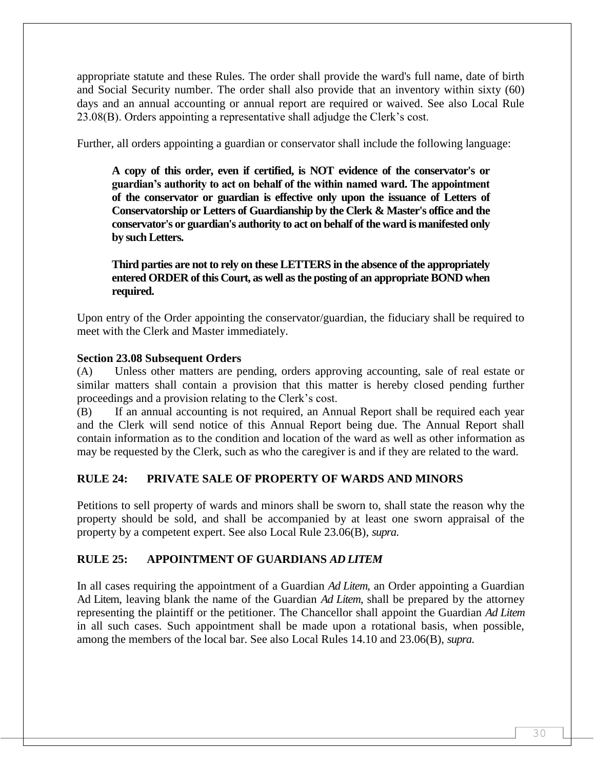appropriate statute and these Rules. The order shall provide the ward's full name, date of birth and Social Security number. The order shall also provide that an inventory within sixty (60) days and an annual accounting or annual report are required or waived. See also Local Rule 23.08(B). Orders appointing a representative shall adjudge the Clerk's cost.

Further, all orders appointing a guardian or conservator shall include the following language:

**A copy of this order, even if certified, is NOT evidence of the conservator's or guardian's authority to act on behalf of the within named ward. The appointment of the conservator or guardian is effective only upon the issuance of Letters of Conservatorship or Letters of Guardianship by the Clerk & Master's office and the conservator's or guardian's authority to act on behalf of the ward is manifested only by such Letters.**

**Third parties are not to rely on these LETTERS in the absence of the appropriately entered ORDER of this Court, as well as the posting of an appropriate BOND when required.**

Upon entry of the Order appointing the conservator/guardian, the fiduciary shall be required to meet with the Clerk and Master immediately.

#### **Section 23.08 Subsequent Orders**

(A) Unless other matters are pending, orders approving accounting, sale of real estate or similar matters shall contain a provision that this matter is hereby closed pending further proceedings and a provision relating to the Clerk's cost.

(B) If an annual accounting is not required, an Annual Report shall be required each year and the Clerk will send notice of this Annual Report being due. The Annual Report shall contain information as to the condition and location of the ward as well as other information as may be requested by the Clerk, such as who the caregiver is and if they are related to the ward.

# **RULE 24: PRIVATE SALE OF PROPERTY OF WARDS AND MINORS**

Petitions to sell property of wards and minors shall be sworn to, shall state the reason why the property should be sold, and shall be accompanied by at least one sworn appraisal of the property by a competent expert. See also Local Rule 23.06(B), *supra*.

# **RULE 25: APPOINTMENT OF GUARDIANS** *AD LITEM*

In all cases requiring the appointment of a Guardian *Ad Litem*, an Order appointing a Guardian Ad Litem, leaving blank the name of the Guardian *Ad Litem*, shall be prepared by the attorney representing the plaintiff or the petitioner. The Chancellor shall appoint the Guardian *Ad Litem* in all such cases. Such appointment shall be made upon a rotational basis, when possible, among the members of the local bar. See also Local Rules 14.10 and 23.06(B), *supra*.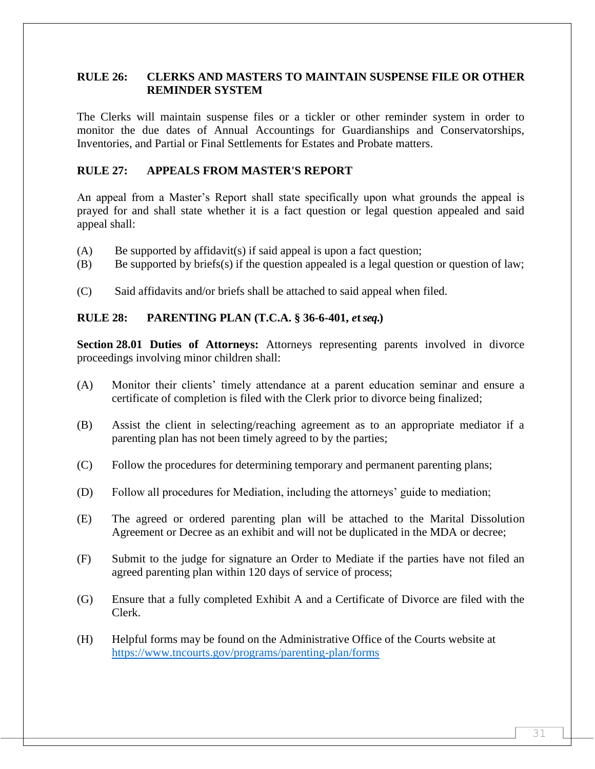# **RULE 26: CLERKS AND MASTERS TO MAINTAIN SUSPENSE FILE OR OTHER REMINDER SYSTEM**

The Clerks will maintain suspense files or a tickler or other reminder system in order to monitor the due dates of Annual Accountings for Guardianships and Conservatorships, Inventories, and Partial or Final Settlements for Estates and Probate matters.

### **RULE 27: APPEALS FROM MASTER'S REPORT**

An appeal from a Master's Report shall state specifically upon what grounds the appeal is prayed for and shall state whether it is a fact question or legal question appealed and said appeal shall:

- $(A)$  Be supported by affidavit(s) if said appeal is upon a fact question;
- $(B)$  Be supported by briefs(s) if the question appealed is a legal question or question of law;
- (C) Said affidavits and/or briefs shall be attached to said appeal when filed.

#### **RULE 28: PARENTING PLAN (T.C.A. § 36-6-401,** *e***t** *seq***.)**

**Section 28.01 Duties of Attorneys:** Attorneys representing parents involved in divorce proceedings involving minor children shall:

- (A) Monitor their clients' timely attendance at a parent education seminar and ensure a certificate of completion is filed with the Clerk prior to divorce being finalized;
- (B) Assist the client in selecting/reaching agreement as to an appropriate mediator if a parenting plan has not been timely agreed to by the parties;
- (C) Follow the procedures for determining temporary and permanent parenting plans;
- (D) Follow all procedures for Mediation, including the attorneys' guide to mediation;
- (E) The agreed or ordered parenting plan will be attached to the Marital Dissolution Agreement or Decree as an exhibit and will not be duplicated in the MDA or decree;
- (F) Submit to the judge for signature an Order to Mediate if the parties have not filed an agreed parenting plan within 120 days of service of process;
- (G) Ensure that a fully completed Exhibit A and a Certificate of Divorce are filed with the Clerk.
- (H) Helpful forms may be found on the Administrative Office of the Courts website at <https://www.tncourts.gov/programs/parenting-plan/forms>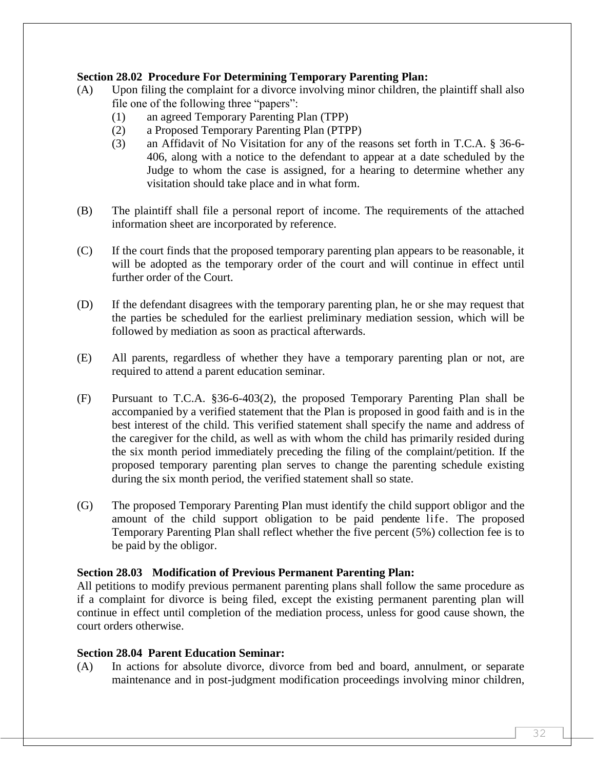#### **Section 28.02 Procedure For Determining Temporary Parenting Plan:**

- (A) Upon filing the complaint for a divorce involving minor children, the plaintiff shall also file one of the following three "papers":
	- (1) an agreed Temporary Parenting Plan (TPP)
	- (2) a Proposed Temporary Parenting Plan (PTPP)
	- (3) an Affidavit of No Visitation for any of the reasons set forth in T.C.A. § 36-6- 406, along with a notice to the defendant to appear at a date scheduled by the Judge to whom the case is assigned, for a hearing to determine whether any visitation should take place and in what form.
- (B) The plaintiff shall file a personal report of income. The requirements of the attached information sheet are incorporated by reference.
- (C) If the court finds that the proposed temporary parenting plan appears to be reasonable, it will be adopted as the temporary order of the court and will continue in effect until further order of the Court.
- (D) If the defendant disagrees with the temporary parenting plan, he or she may request that the parties be scheduled for the earliest preliminary mediation session, which will be followed by mediation as soon as practical afterwards.
- (E) All parents, regardless of whether they have a temporary parenting plan or not, are required to attend a parent education seminar.
- (F) Pursuant to T.C.A. §36-6-403(2), the proposed Temporary Parenting Plan shall be accompanied by a verified statement that the Plan is proposed in good faith and is in the best interest of the child. This verified statement shall specify the name and address of the caregiver for the child, as well as with whom the child has primarily resided during the six month period immediately preceding the filing of the complaint/petition. If the proposed temporary parenting plan serves to change the parenting schedule existing during the six month period, the verified statement shall so state.
- (G) The proposed Temporary Parenting Plan must identify the child support obligor and the amount of the child support obligation to be paid pendente life. The proposed Temporary Parenting Plan shall reflect whether the five percent (5%) collection fee is to be paid by the obligor.

#### **Section 28.03 Modification of Previous Permanent Parenting Plan:**

All petitions to modify previous permanent parenting plans shall follow the same procedure as if a complaint for divorce is being filed, except the existing permanent parenting plan will continue in effect until completion of the mediation process, unless for good cause shown, the court orders otherwise.

#### **Section 28.04 Parent Education Seminar:**

(A) In actions for absolute divorce, divorce from bed and board, annulment, or separate maintenance and in post-judgment modification proceedings involving minor children,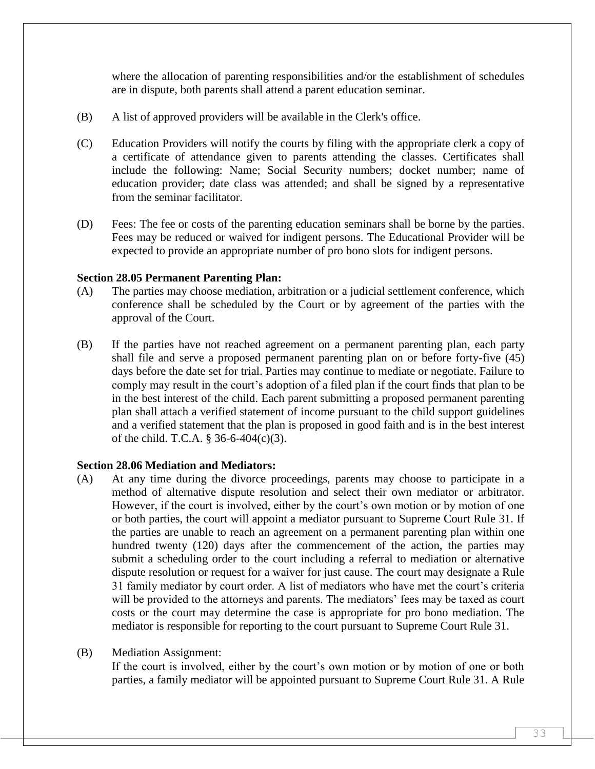where the allocation of parenting responsibilities and/or the establishment of schedules are in dispute, both parents shall attend a parent education seminar.

- (B) A list of approved providers will be available in the Clerk's office.
- (C) Education Providers will notify the courts by filing with the appropriate clerk a copy of a certificate of attendance given to parents attending the classes. Certificates shall include the following: Name; Social Security numbers; docket number; name of education provider; date class was attended; and shall be signed by a representative from the seminar facilitator.
- (D) Fees: The fee or costs of the parenting education seminars shall be borne by the parties. Fees may be reduced or waived for indigent persons. The Educational Provider will be expected to provide an appropriate number of pro bono slots for indigent persons.

#### **Section 28.05 Permanent Parenting Plan:**

- (A) The parties may choose mediation, arbitration or a judicial settlement conference, which conference shall be scheduled by the Court or by agreement of the parties with the approval of the Court.
- (B) If the parties have not reached agreement on a permanent parenting plan, each party shall file and serve a proposed permanent parenting plan on or before forty-five (45) days before the date set for trial. Parties may continue to mediate or negotiate. Failure to comply may result in the court's adoption of a filed plan if the court finds that plan to be in the best interest of the child. Each parent submitting a proposed permanent parenting plan shall attach a verified statement of income pursuant to the child support guidelines and a verified statement that the plan is proposed in good faith and is in the best interest of the child. T.C.A. § 36-6-404(c)(3).

#### **Section 28.06 Mediation and Mediators:**

(A) At any time during the divorce proceedings, parents may choose to participate in a method of alternative dispute resolution and select their own mediator or arbitrator. However, if the court is involved, either by the court's own motion or by motion of one or both parties, the court will appoint a mediator pursuant to Supreme Court Rule 31. If the parties are unable to reach an agreement on a permanent parenting plan within one hundred twenty (120) days after the commencement of the action, the parties may submit a scheduling order to the court including a referral to mediation or alternative dispute resolution or request for a waiver for just cause. The court may designate a Rule 31 family mediator by court order. A list of mediators who have met the court's criteria will be provided to the attorneys and parents. The mediators' fees may be taxed as court costs or the court may determine the case is appropriate for pro bono mediation. The mediator is responsible for reporting to the court pursuant to Supreme Court Rule 31.

#### (B) Mediation Assignment:

If the court is involved, either by the court's own motion or by motion of one or both parties, a family mediator will be appointed pursuant to Supreme Court Rule 31. A Rule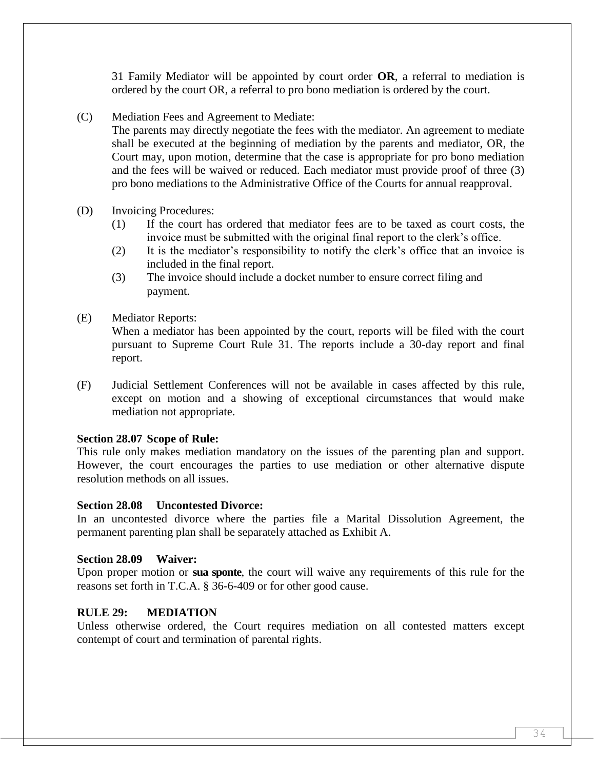31 Family Mediator will be appointed by court order **OR**, a referral to mediation is ordered by the court OR, a referral to pro bono mediation is ordered by the court.

(C) Mediation Fees and Agreement to Mediate:

The parents may directly negotiate the fees with the mediator. An agreement to mediate shall be executed at the beginning of mediation by the parents and mediator, OR, the Court may, upon motion, determine that the case is appropriate for pro bono mediation and the fees will be waived or reduced. Each mediator must provide proof of three (3) pro bono mediations to the Administrative Office of the Courts for annual reapproval.

- (D) Invoicing Procedures:
	- (1) If the court has ordered that mediator fees are to be taxed as court costs, the invoice must be submitted with the original final report to the clerk's office.
	- (2) It is the mediator's responsibility to notify the clerk's office that an invoice is included in the final report.
	- (3) The invoice should include a docket number to ensure correct filing and payment.
- (E) Mediator Reports:

When a mediator has been appointed by the court, reports will be filed with the court pursuant to Supreme Court Rule 31. The reports include a 30-day report and final report.

(F) Judicial Settlement Conferences will not be available in cases affected by this rule, except on motion and a showing of exceptional circumstances that would make mediation not appropriate.

# **Section 28.07 Scope of Rule:**

This rule only makes mediation mandatory on the issues of the parenting plan and support. However, the court encourages the parties to use mediation or other alternative dispute resolution methods on all issues.

#### **Section 28.08 Uncontested Divorce:**

In an uncontested divorce where the parties file a Marital Dissolution Agreement, the permanent parenting plan shall be separately attached as Exhibit A.

#### **Section 28.09 Waiver:**

Upon proper motion or **sua sponte**, the court will waive any requirements of this rule for the reasons set forth in T.C.A. § 36-6-409 or for other good cause.

#### **RULE 29: MEDIATION**

Unless otherwise ordered, the Court requires mediation on all contested matters except contempt of court and termination of parental rights.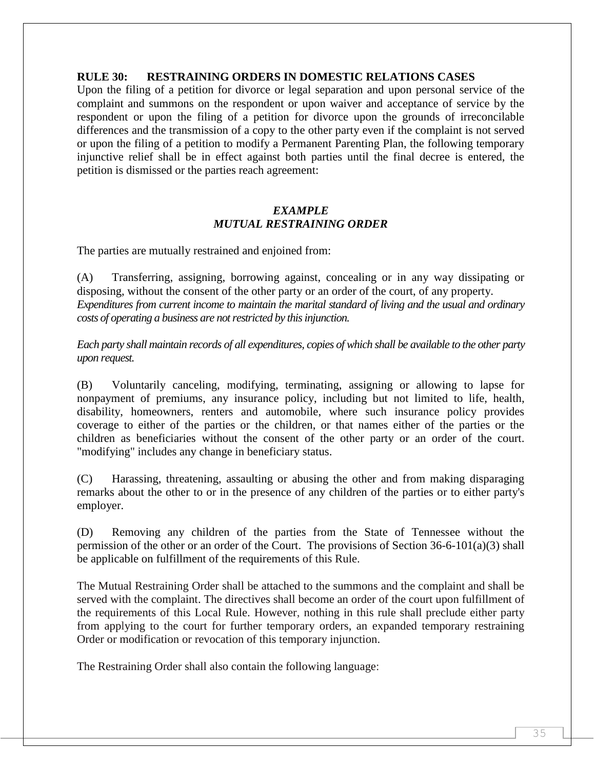#### **RULE 30: RESTRAINING ORDERS IN DOMESTIC RELATIONS CASES**

Upon the filing of a petition for divorce or legal separation and upon personal service of the complaint and summons on the respondent or upon waiver and acceptance of service by the respondent or upon the filing of a petition for divorce upon the grounds of irreconcilable differences and the transmission of a copy to the other party even if the complaint is not served or upon the filing of a petition to modify a Permanent Parenting Plan, the following temporary injunctive relief shall be in effect against both parties until the final decree is entered, the petition is dismissed or the parties reach agreement:

#### *EXAMPLE MUTUAL RESTRAINING ORDER*

The parties are mutually restrained and enjoined from:

(A) Transferring, assigning, borrowing against, concealing or in any way dissipating or disposing, without the consent of the other party or an order of the court, of any property. *Expenditures from current income to maintain the marital standard of living and the usual and ordinary costs of operating a business are not restricted by this injunction.*

*Each party shall maintain records of all expenditures, copies of which shall be available to the other party upon request.*

(B) Voluntarily canceling, modifying, terminating, assigning or allowing to lapse for nonpayment of premiums, any insurance policy, including but not limited to life, health, disability, homeowners, renters and automobile, where such insurance policy provides coverage to either of the parties or the children, or that names either of the parties or the children as beneficiaries without the consent of the other party or an order of the court. "modifying" includes any change in beneficiary status.

(C) Harassing, threatening, assaulting or abusing the other and from making disparaging remarks about the other to or in the presence of any children of the parties or to either party's employer.

(D) Removing any children of the parties from the State of Tennessee without the permission of the other or an order of the Court. The provisions of Section 36-6-101(a)(3) shall be applicable on fulfillment of the requirements of this Rule.

The Mutual Restraining Order shall be attached to the summons and the complaint and shall be served with the complaint. The directives shall become an order of the court upon fulfillment of the requirements of this Local Rule. However, nothing in this rule shall preclude either party from applying to the court for further temporary orders, an expanded temporary restraining Order or modification or revocation of this temporary injunction.

The Restraining Order shall also contain the following language: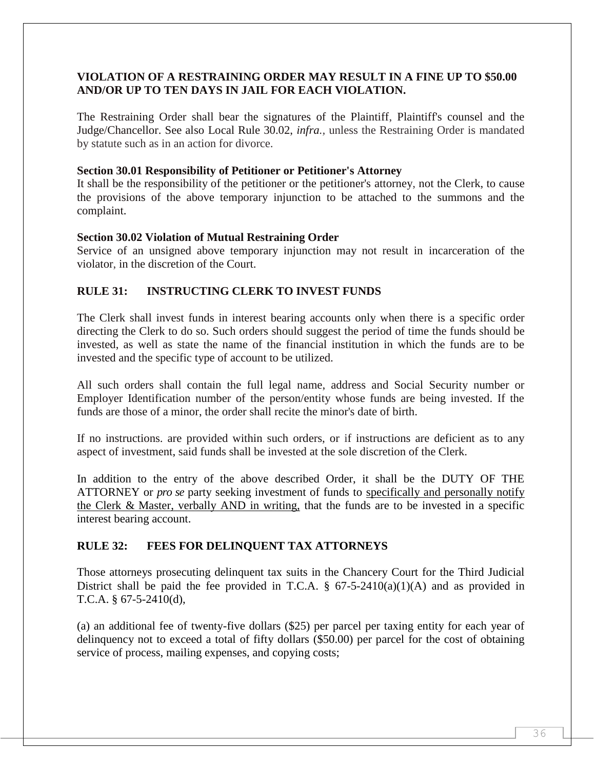# **VIOLATION OF A RESTRAINING ORDER MAY RESULT IN A FINE UP TO \$50.00 AND/OR UP TO TEN DAYS IN JAIL FOR EACH VIOLATION.**

The Restraining Order shall bear the signatures of the Plaintiff, Plaintiff's counsel and the Judge/Chancellor. See also Local Rule 30.02, *infra.,* unless the Restraining Order is mandated by statute such as in an action for divorce.

#### **Section 30.01 Responsibility of Petitioner or Petitioner's Attorney**

It shall be the responsibility of the petitioner or the petitioner's attorney, not the Clerk, to cause the provisions of the above temporary injunction to be attached to the summons and the complaint.

#### **Section 30.02 Violation of Mutual Restraining Order**

Service of an unsigned above temporary injunction may not result in incarceration of the violator, in the discretion of the Court.

# **RULE 31: INSTRUCTING CLERK TO INVEST FUNDS**

The Clerk shall invest funds in interest bearing accounts only when there is a specific order directing the Clerk to do so. Such orders should suggest the period of time the funds should be invested, as well as state the name of the financial institution in which the funds are to be invested and the specific type of account to be utilized.

All such orders shall contain the full legal name, address and Social Security number or Employer Identification number of the person/entity whose funds are being invested. If the funds are those of a minor, the order shall recite the minor's date of birth.

If no instructions. are provided within such orders, or if instructions are deficient as to any aspect of investment, said funds shall be invested at the sole discretion of the Clerk.

In addition to the entry of the above described Order, it shall be the DUTY OF THE ATTORNEY or *pro se* party seeking investment of funds to specifically and personally notify the Clerk & Master, verbally AND in writing, that the funds are to be invested in a specific interest bearing account.

#### **RULE 32: FEES FOR DELINQUENT TAX ATTORNEYS**

Those attorneys prosecuting delinquent tax suits in the Chancery Court for the Third Judicial District shall be paid the fee provided in T.C.A. §  $67-5-2410(a)(1)(A)$  and as provided in T.C.A. § 67-5-2410(d),

(a) an additional fee of twenty-five dollars (\$25) per parcel per taxing entity for each year of delinquency not to exceed a total of fifty dollars (\$50.00) per parcel for the cost of obtaining service of process, mailing expenses, and copying costs;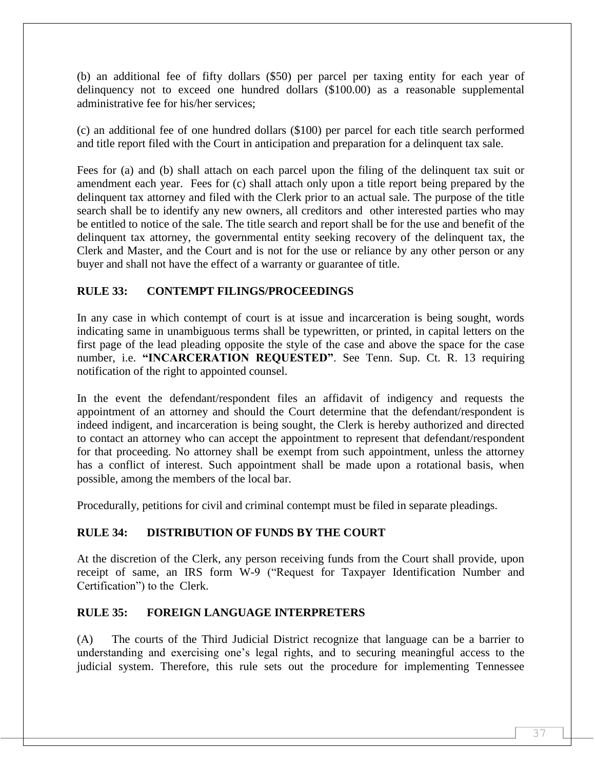(b) an additional fee of fifty dollars (\$50) per parcel per taxing entity for each year of delinquency not to exceed one hundred dollars (\$100.00) as a reasonable supplemental administrative fee for his/her services;

(c) an additional fee of one hundred dollars (\$100) per parcel for each title search performed and title report filed with the Court in anticipation and preparation for a delinquent tax sale.

Fees for (a) and (b) shall attach on each parcel upon the filing of the delinquent tax suit or amendment each year. Fees for (c) shall attach only upon a title report being prepared by the delinquent tax attorney and filed with the Clerk prior to an actual sale. The purpose of the title search shall be to identify any new owners, all creditors and other interested parties who may be entitled to notice of the sale. The title search and report shall be for the use and benefit of the delinquent tax attorney, the governmental entity seeking recovery of the delinquent tax, the Clerk and Master, and the Court and is not for the use or reliance by any other person or any buyer and shall not have the effect of a warranty or guarantee of title.

# **RULE 33: CONTEMPT FILINGS/PROCEEDINGS**

In any case in which contempt of court is at issue and incarceration is being sought, words indicating same in unambiguous terms shall be typewritten, or printed, in capital letters on the first page of the lead pleading opposite the style of the case and above the space for the case number, i.e. **"INCARCERATION REQUESTED"**. See Tenn. Sup. Ct. R. 13 requiring notification of the right to appointed counsel.

In the event the defendant/respondent files an affidavit of indigency and requests the appointment of an attorney and should the Court determine that the defendant/respondent is indeed indigent, and incarceration is being sought, the Clerk is hereby authorized and directed to contact an attorney who can accept the appointment to represent that defendant/respondent for that proceeding. No attorney shall be exempt from such appointment, unless the attorney has a conflict of interest. Such appointment shall be made upon a rotational basis, when possible, among the members of the local bar.

Procedurally, petitions for civil and criminal contempt must be filed in separate pleadings.

# **RULE 34: DISTRIBUTION OF FUNDS BY THE COURT**

At the discretion of the Clerk, any person receiving funds from the Court shall provide, upon receipt of same, an IRS form W-9 ("Request for Taxpayer Identification Number and Certification") to the Clerk.

#### **RULE 35: FOREIGN LANGUAGE INTERPRETERS**

(A) The courts of the Third Judicial District recognize that language can be a barrier to understanding and exercising one's legal rights, and to securing meaningful access to the judicial system. Therefore, this rule sets out the procedure for implementing Tennessee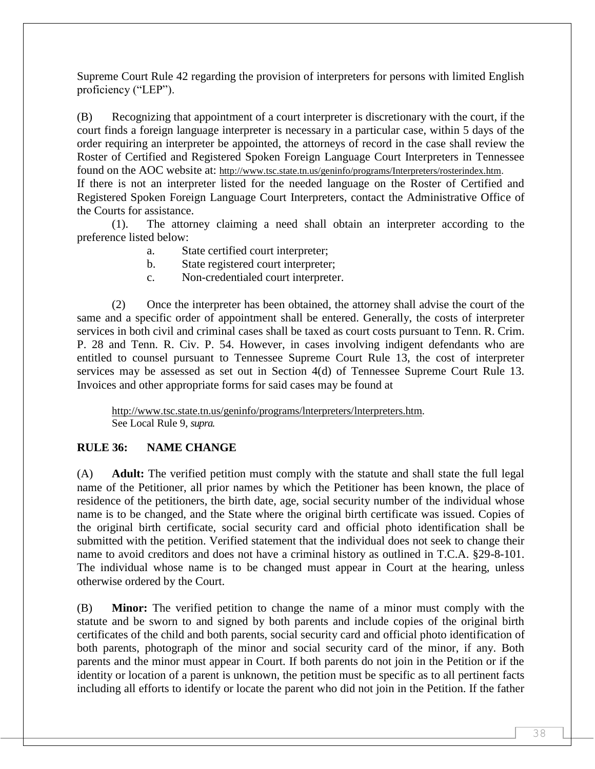Supreme Court Rule 42 regarding the provision of interpreters for persons with limited English proficiency ("LEP").

(B) Recognizing that appointment of a court interpreter is discretionary with the court, if the court finds a foreign language interpreter is necessary in a particular case, within 5 days of the order requiring an interpreter be appointed, the attorneys of record in the case shall review the Roster of Certified and Registered Spoken Foreign Language Court Interpreters in Tennessee found on the AOC website at: [http://www.tsc.state.tn.us/geninfo/programs/Interpreters/rosterindex.htm.](http://www.tsc.state.tn.us/geninfo/proerams/Interpreters/rosterindex.htm) If there is not an interpreter listed for the needed language on the Roster of Certified and Registered Spoken Foreign Language Court Interpreters, contact the Administrative Office of the Courts for assistance.

(1). The attorney claiming a need shall obtain an interpreter according to the preference listed below:

- a. State certified court interpreter;
- b. State registered court interpreter;
- c. Non-credentialed court interpreter.

(2) Once the interpreter has been obtained, the attorney shall advise the court of the same and a specific order of appointment shall be entered. Generally, the costs of interpreter services in both civil and criminal cases shall be taxed as court costs pursuant to Tenn. R. Crim. P. 28 and Tenn. R. Civ. P. 54. However, in cases involving indigent defendants who are entitled to counsel pursuant to Tennessee Supreme Court Rule 13, the cost of interpreter services may be assessed as set out in Section 4(d) of Tennessee Supreme Court Rule 13. Invoices and other appropriate forms for said cases may be found at

[http://www.tsc.state.tn.us/geninfo/programs/lnterpreters/lnterpreters.htm.](http://www.tsc.state.tn.us/geninfo/programs/lnterpreters/lnterpreters.htm) See Local Rule 9, *supra.*

#### **RULE 36: NAME CHANGE**

(A) **Adult:** The verified petition must comply with the statute and shall state the full legal name of the Petitioner, all prior names by which the Petitioner has been known, the place of residence of the petitioners, the birth date, age, social security number of the individual whose name is to be changed, and the State where the original birth certificate was issued. Copies of the original birth certificate, social security card and official photo identification shall be submitted with the petition. Verified statement that the individual does not seek to change their name to avoid creditors and does not have a criminal history as outlined in T.C.A. §29-8-101. The individual whose name is to be changed must appear in Court at the hearing, unless otherwise ordered by the Court.

(B) **Minor:** The verified petition to change the name of a minor must comply with the statute and be sworn to and signed by both parents and include copies of the original birth certificates of the child and both parents, social security card and official photo identification of both parents, photograph of the minor and social security card of the minor, if any. Both parents and the minor must appear in Court. If both parents do not join in the Petition or if the identity or location of a parent is unknown, the petition must be specific as to all pertinent facts including all efforts to identify or locate the parent who did not join in the Petition. If the father